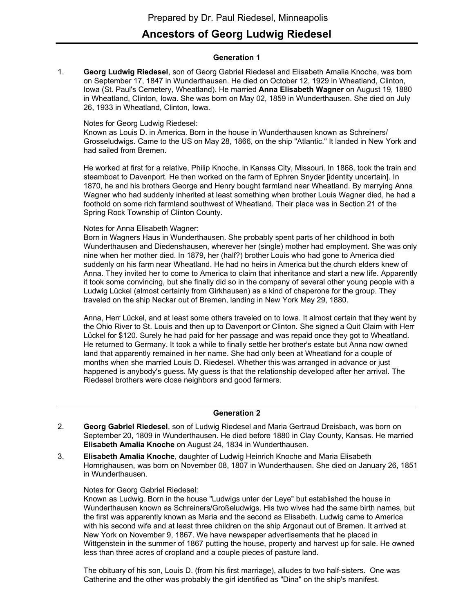# **Ancestors of Georg Ludwig Riedesel**

# **Generation 1**

**Georg Ludwig Riedesel**, son of Georg Gabriel Riedesel and Elisabeth Amalia Knoche, was born on September 17, 1847 in Wunderthausen. He died on October 12, 1929 in Wheatland, Clinton, Iowa (St. Paul's Cemetery, Wheatland). He married **Anna Elisabeth Wagner** on August 19, 1880 in Wheatland, Clinton, Iowa. She was born on May 02, 1859 in Wunderthausen. She died on July 26, 1933 in Wheatland, Clinton, Iowa. 1.

#### Notes for Georg Ludwig Riedesel:

Known as Louis D. in America. Born in the house in Wunderthausen known as Schreiners/ Grosseludwigs. Came to the US on May 28, 1866, on the ship "Atlantic." It landed in New York and had sailed from Bremen.

He worked at first for a relative, Philip Knoche, in Kansas City, Missouri. In 1868, took the train and steamboat to Davenport. He then worked on the farm of Ephren Snyder [identity uncertain]. In 1870, he and his brothers George and Henry bought farmland near Wheatland. By marrying Anna Wagner who had suddenly inherited at least something when brother Louis Wagner died, he had a foothold on some rich farmland southwest of Wheatland. Their place was in Section 21 of the Spring Rock Township of Clinton County.

#### Notes for Anna Elisabeth Wagner:

Born in Wagners Haus in Wunderthausen. She probably spent parts of her childhood in both Wunderthausen and Diedenshausen, wherever her (single) mother had employment. She was only nine when her mother died. In 1879, her (half?) brother Louis who had gone to America died suddenly on his farm near Wheatland. He had no heirs in America but the church elders knew of Anna. They invited her to come to America to claim that inheritance and start a new life. Apparently it took some convincing, but she finally did so in the company of several other young people with a Ludwig Lückel (almost certainly from Girkhausen) as a kind of chaperone for the group. They traveled on the ship Neckar out of Bremen, landing in New York May 29, 1880.

Anna, Herr Lückel, and at least some others traveled on to Iowa. It almost certain that they went by the Ohio River to St. Louis and then up to Davenport or Clinton. She signed a Quit Claim with Herr Lückel for \$120. Surely he had paid for her passage and was repaid once they got to Wheatland. He returned to Germany. It took a while to finally settle her brother's estate but Anna now owned land that apparently remained in her name. She had only been at Wheatland for a couple of months when she married Louis D. Riedesel. Whether this was arranged in advance or just happened is anybody's guess. My guess is that the relationship developed after her arrival. The Riedesel brothers were close neighbors and good farmers.

# **Generation 2**

- **Georg Gabriel Riedesel**, son of Ludwig Riedesel and Maria Gertraud Dreisbach, was born on September 20, 1809 in Wunderthausen. He died before 1880 in Clay County, Kansas. He married **Elisabeth Amalia Knoche** on August 24, 1834 in Wunderthausen. 2.
- **Elisabeth Amalia Knoche**, daughter of Ludwig Heinrich Knoche and Maria Elisabeth Homrighausen, was born on November 08, 1807 in Wunderthausen. She died on January 26, 1851 in Wunderthausen. 3.

#### Notes for Georg Gabriel Riedesel:

Known as Ludwig. Born in the house "Ludwigs unter der Leye" but established the house in Wunderthausen known as Schreiners/Großeludwigs. His two wives had the same birth names, but the first was apparently known as Maria and the second as Elisabeth. Ludwig came to America with his second wife and at least three children on the ship Argonaut out of Bremen. It arrived at New York on November 9, 1867. We have newspaper advertisements that he placed in Wittgenstein in the summer of 1867 putting the house, property and harvest up for sale. He owned less than three acres of cropland and a couple pieces of pasture land.

The obituary of his son, Louis D. (from his first marriage), alludes to two half-sisters. One was Catherine and the other was probably the girl identified as "Dina" on the ship's manifest.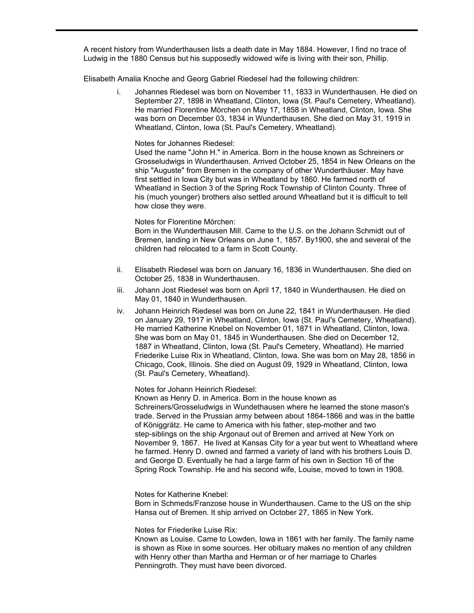A recent history from Wunderthausen lists a death date in May 1884. However, I find no trace of Ludwig in the 1880 Census but his supposedly widowed wife is living with their son, Phillip.

Elisabeth Amalia Knoche and Georg Gabriel Riedesel had the following children:

i. Johannes Riedesel was born on November 11, 1833 in Wunderthausen. He died on September 27, 1898 in Wheatland, Clinton, Iowa (St. Paul's Cemetery, Wheatland). He married Florentine Mörchen on May 17, 1858 in Wheatland, Clinton, Iowa. She was born on December 03, 1834 in Wunderthausen. She died on May 31, 1919 in Wheatland, Clinton, Iowa (St. Paul's Cemetery, Wheatland).

Notes for Johannes Riedesel:

Used the name "John H." in America. Born in the house known as Schreiners or Grosseludwigs in Wunderthausen. Arrived October 25, 1854 in New Orleans on the ship "Auguste" from Bremen in the company of other Wunderthäuser. May have first settled in Iowa City but was in Wheatland by 1860. He farmed north of Wheatland in Section 3 of the Spring Rock Township of Clinton County. Three of his (much younger) brothers also settled around Wheatland but it is difficult to tell how close they were.

#### Notes for Florentine Mörchen:

Born in the Wunderthausen Mill. Came to the U.S. on the Johann Schmidt out of Bremen, landing in New Orleans on June 1, 1857. By1900, she and several of the children had relocated to a farm in Scott County.

- ii. Elisabeth Riedesel was born on January 16, 1836 in Wunderthausen. She died on October 25, 1838 in Wunderthausen.
- iii. Johann Jost Riedesel was born on April 17, 1840 in Wunderthausen. He died on May 01, 1840 in Wunderthausen.
- iv. Johann Heinrich Riedesel was born on June 22, 1841 in Wunderthausen. He died on January 29, 1917 in Wheatland, Clinton, Iowa (St. Paul's Cemetery, Wheatland). He married Katherine Knebel on November 01, 1871 in Wheatland, Clinton, Iowa. She was born on May 01, 1845 in Wunderthausen. She died on December 12, 1887 in Wheatland, Clinton, Iowa (St. Paul's Cemetery, Wheatland). He married Friederike Luise Rix in Wheatland, Clinton, Iowa. She was born on May 28, 1856 in Chicago, Cook, Illinois. She died on August 09, 1929 in Wheatland, Clinton, Iowa (St. Paul's Cemetery, Wheatland).

Notes for Johann Heinrich Riedesel:

Known as Henry D. in America. Born in the house known as Schreiners/Grosseludwigs in Wundethausen where he learned the stone mason's trade. Served in the Prussian army between about 1864-1866 and was in the battle of Königgrätz. He came to America with his father, step-mother and two step-siblings on the ship Argonaut out of Bremen and arrived at New York on November 9, 1867. He lived at Kansas City for a year but went to Wheatland where he farmed. Henry D. owned and farmed a variety of land with his brothers Louis D. and George D. Eventually he had a large farm of his own in Section 16 of the Spring Rock Township. He and his second wife, Louise, moved to town in 1908.

Notes for Katherine Knebel:

Born in Schmeds/Franzose house in Wunderthausen. Came to the US on the ship Hansa out of Bremen. It ship arrived on October 27, 1865 in New York.

Notes for Friederike Luise Rix:

Known as Louise. Came to Lowden, Iowa in 1861 with her family. The family name is shown as Rixe in some sources. Her obituary makes no mention of any children with Henry other than Martha and Herman or of her marriage to Charles Penningroth. They must have been divorced.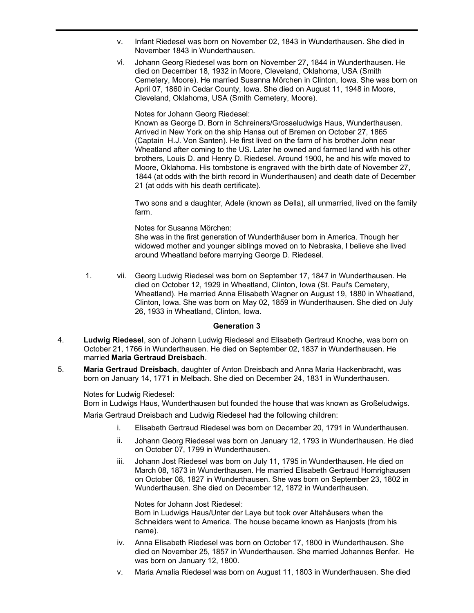- v. Infant Riedesel was born on November 02, 1843 in Wunderthausen. She died in November 1843 in Wunderthausen.
- vi. Johann Georg Riedesel was born on November 27, 1844 in Wunderthausen. He died on December 18, 1932 in Moore, Cleveland, Oklahoma, USA (Smith Cemetery, Moore). He married Susanna Mörchen in Clinton, Iowa. She was born on April 07, 1860 in Cedar County, Iowa. She died on August 11, 1948 in Moore, Cleveland, Oklahoma, USA (Smith Cemetery, Moore).

Notes for Johann Georg Riedesel:

Known as George D. Born in Schreiners/Grosseludwigs Haus, Wunderthausen. Arrived in New York on the ship Hansa out of Bremen on October 27, 1865 (Captain H.J. Von Santen). He first lived on the farm of his brother John near Wheatland after coming to the US. Later he owned and farmed land with his other brothers, Louis D. and Henry D. Riedesel. Around 1900, he and his wife moved to Moore, Oklahoma. His tombstone is engraved with the birth date of November 27, 1844 (at odds with the birth record in Wunderthausen) and death date of December 21 (at odds with his death certificate).

Two sons and a daughter, Adele (known as Della), all unmarried, lived on the family farm.

Notes for Susanna Mörchen:

She was in the first generation of Wunderthäuser born in America. Though her widowed mother and younger siblings moved on to Nebraska, I believe she lived around Wheatland before marrying George D. Riedesel.

1. vii. Georg Ludwig Riedesel was born on September 17, 1847 in Wunderthausen. He died on October 12, 1929 in Wheatland, Clinton, Iowa (St. Paul's Cemetery, Wheatland). He married Anna Elisabeth Wagner on August 19, 1880 in Wheatland, Clinton, Iowa. She was born on May 02, 1859 in Wunderthausen. She died on July 26, 1933 in Wheatland, Clinton, Iowa.

# **Generation 3**

- **Ludwig Riedesel**, son of Johann Ludwig Riedesel and Elisabeth Gertraud Knoche, was born on October 21, 1766 in Wunderthausen. He died on September 02, 1837 in Wunderthausen. He married **Maria Gertraud Dreisbach**. 4.
- **Maria Gertraud Dreisbach**, daughter of Anton Dreisbach and Anna Maria Hackenbracht, was born on January 14, 1771 in Melbach. She died on December 24, 1831 in Wunderthausen. 5.

Notes for Ludwig Riedesel: Born in Ludwigs Haus, Wunderthausen but founded the house that was known as Großeludwigs.

Maria Gertraud Dreisbach and Ludwig Riedesel had the following children:

- i. Elisabeth Gertraud Riedesel was born on December 20, 1791 in Wunderthausen.
- ii. Johann Georg Riedesel was born on January 12, 1793 in Wunderthausen. He died on October 07, 1799 in Wunderthausen.
- iii. Johann Jost Riedesel was born on July 11, 1795 in Wunderthausen. He died on March 08, 1873 in Wunderthausen. He married Elisabeth Gertraud Homrighausen on October 08, 1827 in Wunderthausen. She was born on September 23, 1802 in Wunderthausen. She died on December 12, 1872 in Wunderthausen.

Notes for Johann Jost Riedesel: Born in Ludwigs Haus/Unter der Laye but took over Altehäusers when the Schneiders went to America. The house became known as Hanjosts (from his name).

- iv. Anna Elisabeth Riedesel was born on October 17, 1800 in Wunderthausen. She died on November 25, 1857 in Wunderthausen. She married Johannes Benfer. He was born on January 12, 1800.
- v. Maria Amalia Riedesel was born on August 11, 1803 in Wunderthausen. She died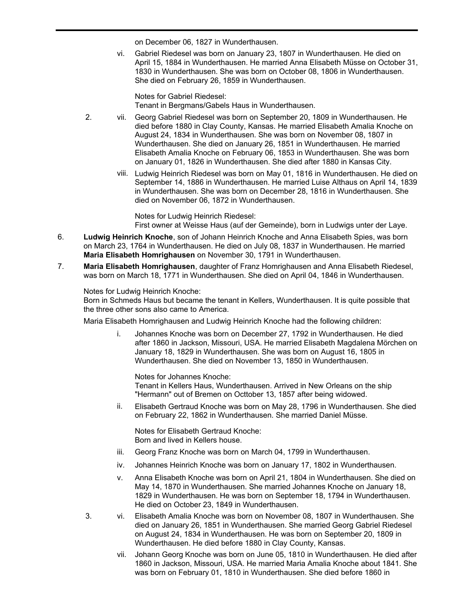on December 06, 1827 in Wunderthausen.

vi. Gabriel Riedesel was born on January 23, 1807 in Wunderthausen. He died on April 15, 1884 in Wunderthausen. He married Anna Elisabeth Müsse on October 31, 1830 in Wunderthausen. She was born on October 08, 1806 in Wunderthausen. She died on February 26, 1859 in Wunderthausen.

v. Maria Amalia Riedesel was born on August 11, 1803 in Wunderthausen. She died

Notes for Gabriel Riedesel: Tenant in Bergmans/Gabels Haus in Wunderthausen.

- 2. vii. Georg Gabriel Riedesel was born on September 20, 1809 in Wunderthausen. He died before 1880 in Clay County, Kansas. He married Elisabeth Amalia Knoche on August 24, 1834 in Wunderthausen. She was born on November 08, 1807 in Wunderthausen. She died on January 26, 1851 in Wunderthausen. He married Elisabeth Amalia Knoche on February 06, 1853 in Wunderthausen. She was born on January 01, 1826 in Wunderthausen. She died after 1880 in Kansas City.
	- viii. Ludwig Heinrich Riedesel was born on May 01, 1816 in Wunderthausen. He died on September 14, 1886 in Wunderthausen. He married Luise Althaus on April 14, 1839 in Wunderthausen. She was born on December 28, 1816 in Wunderthausen. She died on November 06, 1872 in Wunderthausen.

Notes for Ludwig Heinrich Riedesel: First owner at Weisse Haus (auf der Gemeinde), born in Ludwigs unter der Laye.

- **Ludwig Heinrich Knoche**, son of Johann Heinrich Knoche and Anna Elisabeth Spies, was born on March 23, 1764 in Wunderthausen. He died on July 08, 1837 in Wunderthausen. He married **Maria Elisabeth Homrighausen** on November 30, 1791 in Wunderthausen. 6.
- **Maria Elisabeth Homrighausen**, daughter of Franz Homrighausen and Anna Elisabeth Riedesel, was born on March 18, 1771 in Wunderthausen. She died on April 04, 1846 in Wunderthausen. 7.

Notes for Ludwig Heinrich Knoche:

Born in Schmeds Haus but became the tenant in Kellers, Wunderthausen. It is quite possible that the three other sons also came to America.

Maria Elisabeth Homrighausen and Ludwig Heinrich Knoche had the following children:

i. Johannes Knoche was born on December 27, 1792 in Wunderthausen. He died after 1860 in Jackson, Missouri, USA. He married Elisabeth Magdalena Mörchen on January 18, 1829 in Wunderthausen. She was born on August 16, 1805 in Wunderthausen. She died on November 13, 1850 in Wunderthausen.

Notes for Johannes Knoche: Tenant in Kellers Haus, Wunderthausen. Arrived in New Orleans on the ship "Hermann" out of Bremen on Octtober 13, 1857 after being widowed.

ii. Elisabeth Gertraud Knoche was born on May 28, 1796 in Wunderthausen. She died on February 22, 1862 in Wunderthausen. She married Daniel Müsse.

Notes for Elisabeth Gertraud Knoche: Born and lived in Kellers house.

- iii. Georg Franz Knoche was born on March 04, 1799 in Wunderthausen.
- iv. Johannes Heinrich Knoche was born on January 17, 1802 in Wunderthausen.
- v. Anna Elisabeth Knoche was born on April 21, 1804 in Wunderthausen. She died on May 14, 1870 in Wunderthausen. She married Johannes Knoche on January 18, 1829 in Wunderthausen. He was born on September 18, 1794 in Wunderthausen. He died on October 23, 1849 in Wunderthausen.
- 3. vi. Elisabeth Amalia Knoche was born on November 08, 1807 in Wunderthausen. She died on January 26, 1851 in Wunderthausen. She married Georg Gabriel Riedesel on August 24, 1834 in Wunderthausen. He was born on September 20, 1809 in Wunderthausen. He died before 1880 in Clay County, Kansas.
	- vii. Johann Georg Knoche was born on June 05, 1810 in Wunderthausen. He died after 1860 in Jackson, Missouri, USA. He married Maria Amalia Knoche about 1841. She was born on February 01, 1810 in Wunderthausen. She died before 1860 in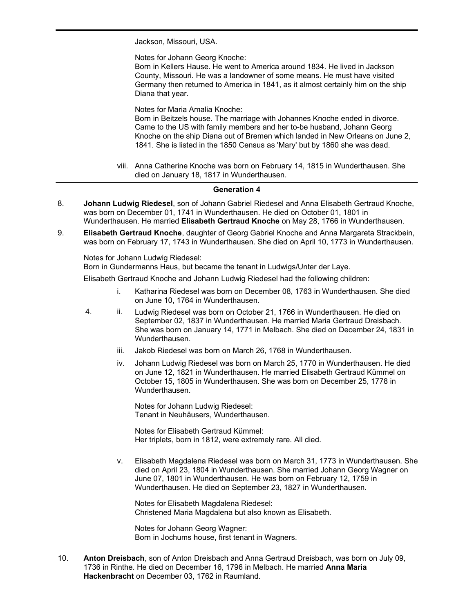Jackson, Missouri, USA.

Notes for Johann Georg Knoche:

Born in Kellers Hause. He went to America around 1834. He lived in Jackson County, Missouri. He was a landowner of some means. He must have visited Germany then returned to America in 1841, as it almost certainly him on the ship Diana that year.

was born on February 01, 1810 in Wunderthausen. She died before 1860 in

Notes for Maria Amalia Knoche:

Born in Beitzels house. The marriage with Johannes Knoche ended in divorce. Came to the US with family members and her to-be husband, Johann Georg Knoche on the ship Diana out of Bremen which landed in New Orleans on June 2, 1841. She is listed in the 1850 Census as 'Mary' but by 1860 she was dead.

viii. Anna Catherine Knoche was born on February 14, 1815 in Wunderthausen. She died on January 18, 1817 in Wunderthausen.

# **Generation 4**

- **Johann Ludwig Riedesel**, son of Johann Gabriel Riedesel and Anna Elisabeth Gertraud Knoche, was born on December 01, 1741 in Wunderthausen. He died on October 01, 1801 in Wunderthausen. He married **Elisabeth Gertraud Knoche** on May 28, 1766 in Wunderthausen. 8.
- **Elisabeth Gertraud Knoche**, daughter of Georg Gabriel Knoche and Anna Margareta Strackbein, was born on February 17, 1743 in Wunderthausen. She died on April 10, 1773 in Wunderthausen. 9.

Notes for Johann Ludwig Riedesel:

Born in Gundermanns Haus, but became the tenant in Ludwigs/Unter der Laye.

Elisabeth Gertraud Knoche and Johann Ludwig Riedesel had the following children:

- i. Katharina Riedesel was born on December 08, 1763 in Wunderthausen. She died on June 10, 1764 in Wunderthausen.
- 4. ii. Ludwig Riedesel was born on October 21, 1766 in Wunderthausen. He died on September 02, 1837 in Wunderthausen. He married Maria Gertraud Dreisbach. She was born on January 14, 1771 in Melbach. She died on December 24, 1831 in Wunderthausen.
	- iii. Jakob Riedesel was born on March 26, 1768 in Wunderthausen.
	- iv. Johann Ludwig Riedesel was born on March 25, 1770 in Wunderthausen. He died on June 12, 1821 in Wunderthausen. He married Elisabeth Gertraud Kümmel on October 15, 1805 in Wunderthausen. She was born on December 25, 1778 in Wunderthausen.

Notes for Johann Ludwig Riedesel: Tenant in Neuhäusers, Wunderthausen.

Notes for Elisabeth Gertraud Kümmel: Her triplets, born in 1812, were extremely rare. All died.

v. Elisabeth Magdalena Riedesel was born on March 31, 1773 in Wunderthausen. She died on April 23, 1804 in Wunderthausen. She married Johann Georg Wagner on June 07, 1801 in Wunderthausen. He was born on February 12, 1759 in Wunderthausen. He died on September 23, 1827 in Wunderthausen.

Notes for Elisabeth Magdalena Riedesel: Christened Maria Magdalena but also known as Elisabeth.

Notes for Johann Georg Wagner: Born in Jochums house, first tenant in Wagners.

**Anton Dreisbach**, son of Anton Dreisbach and Anna Gertraud Dreisbach, was born on July 09, 1736 in Rinthe. He died on December 16, 1796 in Melbach. He married **Anna Maria Hackenbracht** on December 03, 1762 in Raumland. 10.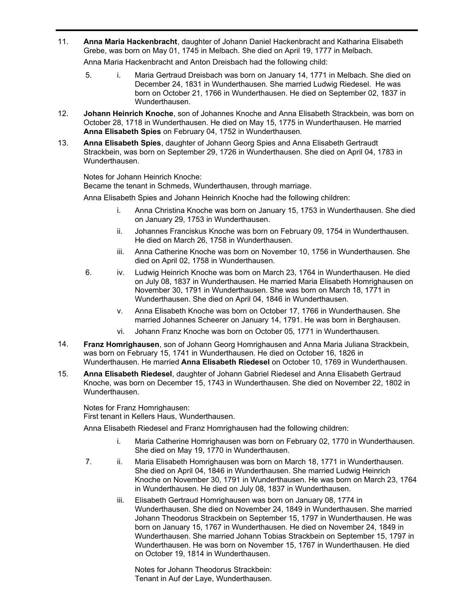**Anna Maria Hackenbracht**, daughter of Johann Daniel Hackenbracht and Katharina Elisabeth Grebe, was born on May 01, 1745 in Melbach. She died on April 19, 1777 in Melbach. 11.

Anna Maria Hackenbracht and Anton Dreisbach had the following child:

- 5. i. Maria Gertraud Dreisbach was born on January 14, 1771 in Melbach. She died on December 24, 1831 in Wunderthausen. She married Ludwig Riedesel. He was born on October 21, 1766 in Wunderthausen. He died on September 02, 1837 in Wunderthausen.
- **Johann Heinrich Knoche**, son of Johannes Knoche and Anna Elisabeth Strackbein, was born on October 28, 1718 in Wunderthausen. He died on May 15, 1775 in Wunderthausen. He married **Anna Elisabeth Spies** on February 04, 1752 in Wunderthausen. 12.
- **Anna Elisabeth Spies**, daughter of Johann Georg Spies and Anna Elisabeth Gertraudt Strackbein, was born on September 29, 1726 in Wunderthausen. She died on April 04, 1783 in Wunderthausen. 13.

Notes for Johann Heinrich Knoche:

Became the tenant in Schmeds, Wunderthausen, through marriage.

Anna Elisabeth Spies and Johann Heinrich Knoche had the following children:

- i. Anna Christina Knoche was born on January 15, 1753 in Wunderthausen. She died on January 29, 1753 in Wunderthausen.
- ii. Johannes Franciskus Knoche was born on February 09, 1754 in Wunderthausen. He died on March 26, 1758 in Wunderthausen.
- iii. Anna Catherine Knoche was born on November 10, 1756 in Wunderthausen. She died on April 02, 1758 in Wunderthausen.
- 6. iv. Ludwig Heinrich Knoche was born on March 23, 1764 in Wunderthausen. He died on July 08, 1837 in Wunderthausen. He married Maria Elisabeth Homrighausen on November 30, 1791 in Wunderthausen. She was born on March 18, 1771 in Wunderthausen. She died on April 04, 1846 in Wunderthausen.
	- v. Anna Elisabeth Knoche was born on October 17, 1766 in Wunderthausen. She married Johannes Scheerer on January 14, 1791. He was born in Berghausen.
	- vi. Johann Franz Knoche was born on October 05, 1771 in Wunderthausen.
- **Franz Homrighausen**, son of Johann Georg Homrighausen and Anna Maria Juliana Strackbein, was born on February 15, 1741 in Wunderthausen. He died on October 16, 1826 in Wunderthausen. He married **Anna Elisabeth Riedesel** on October 10, 1769 in Wunderthausen. 14.
- **Anna Elisabeth Riedesel**, daughter of Johann Gabriel Riedesel and Anna Elisabeth Gertraud Knoche, was born on December 15, 1743 in Wunderthausen. She died on November 22, 1802 in Wunderthausen. 15.

Notes for Franz Homrighausen: First tenant in Kellers Haus, Wunderthausen.

Anna Elisabeth Riedesel and Franz Homrighausen had the following children:

- i. Maria Catherine Homrighausen was born on February 02, 1770 in Wunderthausen. She died on May 19, 1770 in Wunderthausen.
- 7. ii. Maria Elisabeth Homrighausen was born on March 18, 1771 in Wunderthausen. She died on April 04, 1846 in Wunderthausen. She married Ludwig Heinrich Knoche on November 30, 1791 in Wunderthausen. He was born on March 23, 1764 in Wunderthausen. He died on July 08, 1837 in Wunderthausen.
	- iii. Elisabeth Gertraud Homrighausen was born on January 08, 1774 in Wunderthausen. She died on November 24, 1849 in Wunderthausen. She married Johann Theodorus Strackbein on September 15, 1797 in Wunderthausen. He was born on January 15, 1767 in Wunderthausen. He died on November 24, 1849 in Wunderthausen. She married Johann Tobias Strackbein on September 15, 1797 in Wunderthausen. He was born on November 15, 1767 in Wunderthausen. He died on October 19, 1814 in Wunderthausen.

Notes for Johann Theodorus Strackbein: Tenant in Auf der Laye, Wunderthausen.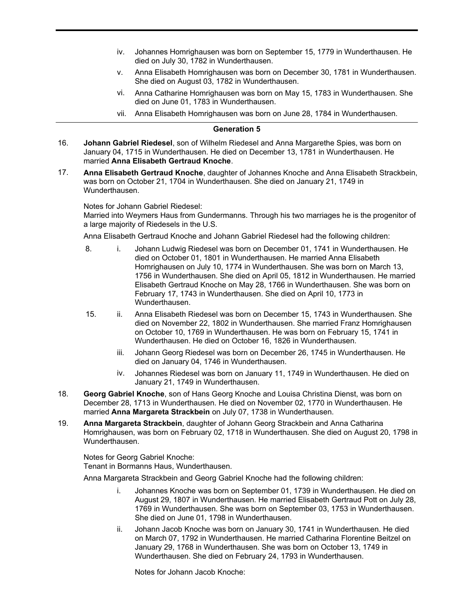- iv. Johannes Homrighausen was born on September 15, 1779 in Wunderthausen. He died on July 30, 1782 in Wunderthausen.
- v. Anna Elisabeth Homrighausen was born on December 30, 1781 in Wunderthausen. She died on August 03, 1782 in Wunderthausen.
- vi. Anna Catharine Homrighausen was born on May 15, 1783 in Wunderthausen. She died on June 01, 1783 in Wunderthausen.
- vii. Anna Elisabeth Homrighausen was born on June 28, 1784 in Wunderthausen.

#### **Generation 5**

- **Johann Gabriel Riedesel**, son of Wilhelm Riedesel and Anna Margarethe Spies, was born on January 04, 1715 in Wunderthausen. He died on December 13, 1781 in Wunderthausen. He married **Anna Elisabeth Gertraud Knoche**. 16.
- **Anna Elisabeth Gertraud Knoche**, daughter of Johannes Knoche and Anna Elisabeth Strackbein, was born on October 21, 1704 in Wunderthausen. She died on January 21, 1749 in Wunderthausen. 17.

Notes for Johann Gabriel Riedesel:

Married into Weymers Haus from Gundermanns. Through his two marriages he is the progenitor of a large majority of Riedesels in the U.S.

Anna Elisabeth Gertraud Knoche and Johann Gabriel Riedesel had the following children:

- 8. i. Johann Ludwig Riedesel was born on December 01, 1741 in Wunderthausen. He died on October 01, 1801 in Wunderthausen. He married Anna Elisabeth Homrighausen on July 10, 1774 in Wunderthausen. She was born on March 13, 1756 in Wunderthausen. She died on April 05, 1812 in Wunderthausen. He married Elisabeth Gertraud Knoche on May 28, 1766 in Wunderthausen. She was born on February 17, 1743 in Wunderthausen. She died on April 10, 1773 in Wunderthausen.
- 15. ii. Anna Elisabeth Riedesel was born on December 15, 1743 in Wunderthausen. She died on November 22, 1802 in Wunderthausen. She married Franz Homrighausen on October 10, 1769 in Wunderthausen. He was born on February 15, 1741 in Wunderthausen. He died on October 16, 1826 in Wunderthausen.
	- iii. Johann Georg Riedesel was born on December 26, 1745 in Wunderthausen. He died on January 04, 1746 in Wunderthausen.
	- iv. Johannes Riedesel was born on January 11, 1749 in Wunderthausen. He died on January 21, 1749 in Wunderthausen.
- **Georg Gabriel Knoche**, son of Hans Georg Knoche and Louisa Christina Dienst, was born on December 28, 1713 in Wunderthausen. He died on November 02, 1770 in Wunderthausen. He married **Anna Margareta Strackbein** on July 07, 1738 in Wunderthausen. 18.
- **Anna Margareta Strackbein**, daughter of Johann Georg Strackbein and Anna Catharina Homrighausen, was born on February 02, 1718 in Wunderthausen. She died on August 20, 1798 in Wunderthausen. 19.

Notes for Georg Gabriel Knoche: Tenant in Bormanns Haus, Wunderthausen.

Anna Margareta Strackbein and Georg Gabriel Knoche had the following children:

- i. Johannes Knoche was born on September 01, 1739 in Wunderthausen. He died on August 29, 1807 in Wunderthausen. He married Elisabeth Gertraud Pott on July 28, 1769 in Wunderthausen. She was born on September 03, 1753 in Wunderthausen. She died on June 01, 1798 in Wunderthausen.
- ii. Johann Jacob Knoche was born on January 30, 1741 in Wunderthausen. He died on March 07, 1792 in Wunderthausen. He married Catharina Florentine Beitzel on January 29, 1768 in Wunderthausen. She was born on October 13, 1749 in Wunderthausen. She died on February 24, 1793 in Wunderthausen.

Notes for Johann Jacob Knoche: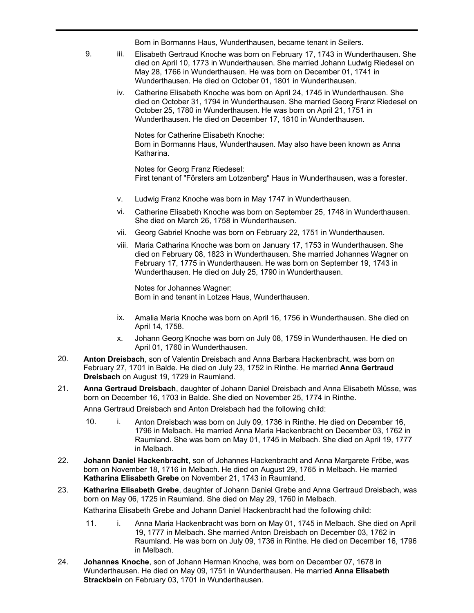Notes for Johann Jacob Knoche: Born in Bormanns Haus, Wunderthausen, became tenant in Seilers.

- 9. iii. Elisabeth Gertraud Knoche was born on February 17, 1743 in Wunderthausen. She died on April 10, 1773 in Wunderthausen. She married Johann Ludwig Riedesel on May 28, 1766 in Wunderthausen. He was born on December 01, 1741 in Wunderthausen. He died on October 01, 1801 in Wunderthausen.
	- iv. Catherine Elisabeth Knoche was born on April 24, 1745 in Wunderthausen. She died on October 31, 1794 in Wunderthausen. She married Georg Franz Riedesel on October 25, 1780 in Wunderthausen. He was born on April 21, 1751 in Wunderthausen. He died on December 17, 1810 in Wunderthausen.

Notes for Catherine Elisabeth Knoche: Born in Bormanns Haus, Wunderthausen. May also have been known as Anna Katharina.

Notes for Georg Franz Riedesel: First tenant of "Försters am Lotzenberg" Haus in Wunderthausen, was a forester.

- v. Ludwig Franz Knoche was born in May 1747 in Wunderthausen.
- vi. Catherine Elisabeth Knoche was born on September 25, 1748 in Wunderthausen. She died on March 26, 1758 in Wunderthausen.
- vii. Georg Gabriel Knoche was born on February 22, 1751 in Wunderthausen.
- viii. Maria Catharina Knoche was born on January 17, 1753 in Wunderthausen. She died on February 08, 1823 in Wunderthausen. She married Johannes Wagner on February 17, 1775 in Wunderthausen. He was born on September 19, 1743 in Wunderthausen. He died on July 25, 1790 in Wunderthausen.

Notes for Johannes Wagner: Born in and tenant in Lotzes Haus, Wunderthausen.

- ix. Amalia Maria Knoche was born on April 16, 1756 in Wunderthausen. She died on April 14, 1758.
- x. Johann Georg Knoche was born on July 08, 1759 in Wunderthausen. He died on April 01, 1760 in Wunderthausen.
- **Anton Dreisbach**, son of Valentin Dreisbach and Anna Barbara Hackenbracht, was born on February 27, 1701 in Balde. He died on July 23, 1752 in Rinthe. He married **Anna Gertraud Dreisbach** on August 19, 1729 in Raumland. 20.
- **Anna Gertraud Dreisbach**, daughter of Johann Daniel Dreisbach and Anna Elisabeth Müsse, was born on December 16, 1703 in Balde. She died on November 25, 1774 in Rinthe. 21.

Anna Gertraud Dreisbach and Anton Dreisbach had the following child:

- 10. i. Anton Dreisbach was born on July 09, 1736 in Rinthe. He died on December 16, 1796 in Melbach. He married Anna Maria Hackenbracht on December 03, 1762 in Raumland. She was born on May 01, 1745 in Melbach. She died on April 19, 1777 in Melbach.
- **Johann Daniel Hackenbracht**, son of Johannes Hackenbracht and Anna Margarete Fröbe, was born on November 18, 1716 in Melbach. He died on August 29, 1765 in Melbach. He married **Katharina Elisabeth Grebe** on November 21, 1743 in Raumland. 22.
- **Katharina Elisabeth Grebe**, daughter of Johann Daniel Grebe and Anna Gertraud Dreisbach, was born on May 06, 1725 in Raumland. She died on May 29, 1760 in Melbach. 23.

Katharina Elisabeth Grebe and Johann Daniel Hackenbracht had the following child:

- 11. i. Anna Maria Hackenbracht was born on May 01, 1745 in Melbach. She died on April 19, 1777 in Melbach. She married Anton Dreisbach on December 03, 1762 in Raumland. He was born on July 09, 1736 in Rinthe. He died on December 16, 1796 in Melbach.
- **Johannes Knoche**, son of Johann Herman Knoche, was born on December 07, 1678 in Wunderthausen. He died on May 09, 1751 in Wunderthausen. He married **Anna Elisabeth Strackbein** on February 03, 1701 in Wunderthausen. 24.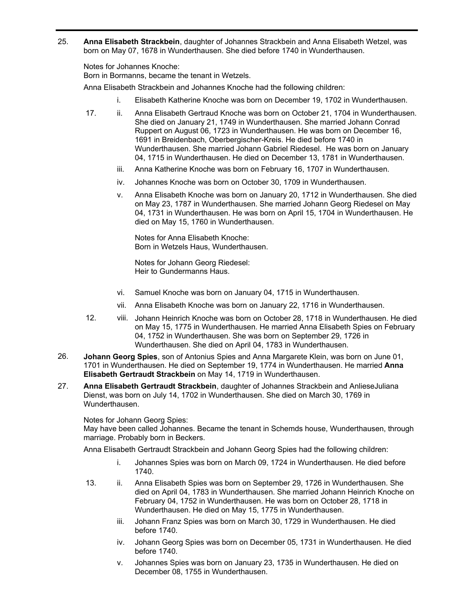**Anna Elisabeth Strackbein**, daughter of Johannes Strackbein and Anna Elisabeth Wetzel, was born on May 07, 1678 in Wunderthausen. She died before 1740 in Wunderthausen. 25.

Notes for Johannes Knoche:

Born in Bormanns, became the tenant in Wetzels.

Anna Elisabeth Strackbein and Johannes Knoche had the following children:

- i. Elisabeth Katherine Knoche was born on December 19, 1702 in Wunderthausen.
- 17. ii. Anna Elisabeth Gertraud Knoche was born on October 21, 1704 in Wunderthausen. She died on January 21, 1749 in Wunderthausen. She married Johann Conrad Ruppert on August 06, 1723 in Wunderthausen. He was born on December 16, 1691 in Breidenbach, Oberbergischer-Kreis. He died before 1740 in Wunderthausen. She married Johann Gabriel Riedesel. He was born on January 04, 1715 in Wunderthausen. He died on December 13, 1781 in Wunderthausen.
	- iii. Anna Katherine Knoche was born on February 16, 1707 in Wunderthausen.
	- iv. Johannes Knoche was born on October 30, 1709 in Wunderthausen.
	- v. Anna Elisabeth Knoche was born on January 20, 1712 in Wunderthausen. She died on May 23, 1787 in Wunderthausen. She married Johann Georg Riedesel on May 04, 1731 in Wunderthausen. He was born on April 15, 1704 in Wunderthausen. He died on May 15, 1760 in Wunderthausen.

Notes for Anna Elisabeth Knoche: Born in Wetzels Haus, Wunderthausen.

Notes for Johann Georg Riedesel: Heir to Gundermanns Haus.

- vi. Samuel Knoche was born on January 04, 1715 in Wunderthausen.
- vii. Anna Elisabeth Knoche was born on January 22, 1716 in Wunderthausen.
- 12. viii. Johann Heinrich Knoche was born on October 28, 1718 in Wunderthausen. He died on May 15, 1775 in Wunderthausen. He married Anna Elisabeth Spies on February 04, 1752 in Wunderthausen. She was born on September 29, 1726 in Wunderthausen. She died on April 04, 1783 in Wunderthausen.
- **Johann Georg Spies**, son of Antonius Spies and Anna Margarete Klein, was born on June 01, 1701 in Wunderthausen. He died on September 19, 1774 in Wunderthausen. He married **Anna Elisabeth Gertraudt Strackbein** on May 14, 1719 in Wunderthausen. 26.
- **Anna Elisabeth Gertraudt Strackbein**, daughter of Johannes Strackbein and AnlieseJuliana Dienst, was born on July 14, 1702 in Wunderthausen. She died on March 30, 1769 in Wunderthausen. 27.

Notes for Johann Georg Spies:

May have been called Johannes. Became the tenant in Schemds house, Wunderthausen, through marriage. Probably born in Beckers.

Anna Elisabeth Gertraudt Strackbein and Johann Georg Spies had the following children:

- i. Johannes Spies was born on March 09, 1724 in Wunderthausen. He died before 1740.
- 13. ii. Anna Elisabeth Spies was born on September 29, 1726 in Wunderthausen. She died on April 04, 1783 in Wunderthausen. She married Johann Heinrich Knoche on February 04, 1752 in Wunderthausen. He was born on October 28, 1718 in Wunderthausen. He died on May 15, 1775 in Wunderthausen.
	- iii. Johann Franz Spies was born on March 30, 1729 in Wunderthausen. He died before 1740.
	- iv. Johann Georg Spies was born on December 05, 1731 in Wunderthausen. He died before 1740.
	- v. Johannes Spies was born on January 23, 1735 in Wunderthausen. He died on December 08, 1755 in Wunderthausen.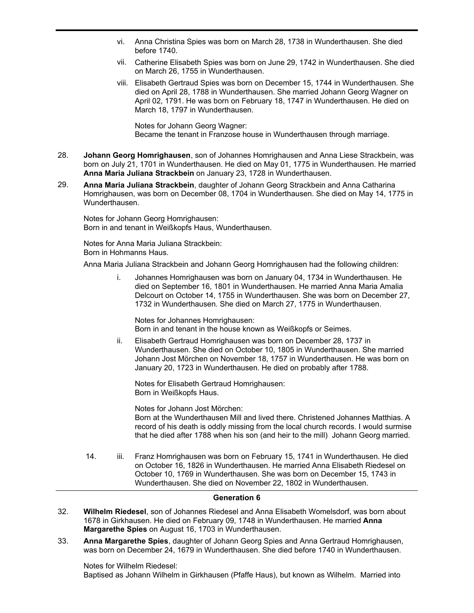- vi. Anna Christina Spies was born on March 28, 1738 in Wunderthausen. She died before 1740.
- vii. Catherine Elisabeth Spies was born on June 29, 1742 in Wunderthausen. She died on March 26, 1755 in Wunderthausen.
- viii. Elisabeth Gertraud Spies was born on December 15, 1744 in Wunderthausen. She died on April 28, 1788 in Wunderthausen. She married Johann Georg Wagner on April 02, 1791. He was born on February 18, 1747 in Wunderthausen. He died on March 18, 1797 in Wunderthausen.

Notes for Johann Georg Wagner: Became the tenant in Franzose house in Wunderthausen through marriage.

- **Johann Georg Homrighausen**, son of Johannes Homrighausen and Anna Liese Strackbein, was born on July 21, 1701 in Wunderthausen. He died on May 01, 1775 in Wunderthausen. He married **Anna Maria Juliana Strackbein** on January 23, 1728 in Wunderthausen. 28.
- **Anna Maria Juliana Strackbein**, daughter of Johann Georg Strackbein and Anna Catharina Homrighausen, was born on December 08, 1704 in Wunderthausen. She died on May 14, 1775 in Wunderthausen. 29.

Notes for Johann Georg Homrighausen: Born in and tenant in Weißkopfs Haus, Wunderthausen.

Notes for Anna Maria Juliana Strackbein: Born in Hohmanns Haus.

Anna Maria Juliana Strackbein and Johann Georg Homrighausen had the following children:

i. Johannes Homrighausen was born on January 04, 1734 in Wunderthausen. He died on September 16, 1801 in Wunderthausen. He married Anna Maria Amalia Delcourt on October 14, 1755 in Wunderthausen. She was born on December 27, 1732 in Wunderthausen. She died on March 27, 1775 in Wunderthausen.

Notes for Johannes Homrighausen: Born in and tenant in the house known as Weißkopfs or Seimes.

ii. Elisabeth Gertraud Homrighausen was born on December 28, 1737 in Wunderthausen. She died on October 10, 1805 in Wunderthausen. She married Johann Jost Mörchen on November 18, 1757 in Wunderthausen. He was born on January 20, 1723 in Wunderthausen. He died on probably after 1788.

Notes for Elisabeth Gertraud Homrighausen: Born in Weißkopfs Haus.

Notes for Johann Jost Mörchen:

Born at the Wunderthausen Mill and lived there. Christened Johannes Matthias. A record of his death is oddly missing from the local church records. I would surmise that he died after 1788 when his son (and heir to the mill) Johann Georg married.

14. iii. Franz Homrighausen was born on February 15, 1741 in Wunderthausen. He died on October 16, 1826 in Wunderthausen. He married Anna Elisabeth Riedesel on October 10, 1769 in Wunderthausen. She was born on December 15, 1743 in Wunderthausen. She died on November 22, 1802 in Wunderthausen.

# **Generation 6**

- **Wilhelm Riedesel**, son of Johannes Riedesel and Anna Elisabeth Womelsdorf, was born about 1678 in Girkhausen. He died on February 09, 1748 in Wunderthausen. He married **Anna Margarethe Spies** on August 16, 1703 in Wunderthausen. 32.
- **Anna Margarethe Spies**, daughter of Johann Georg Spies and Anna Gertraud Homrighausen, was born on December 24, 1679 in Wunderthausen. She died before 1740 in Wunderthausen. 33.

Notes for Wilhelm Riedesel:

Baptised as Johann Wilhelm in Girkhausen (Pfaffe Haus), but known as Wilhelm. Married into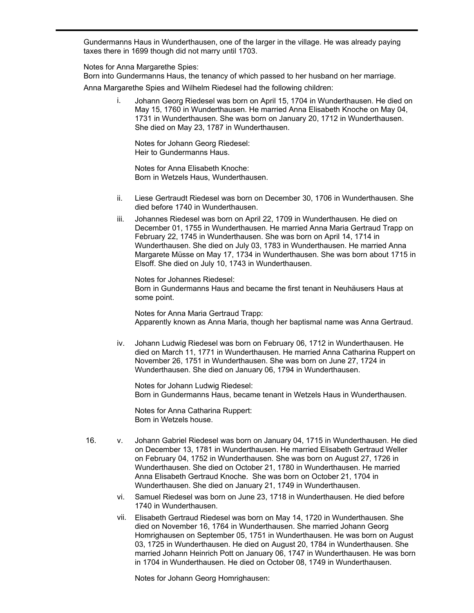Baptised as Johann Wilhelm in Girkhausen (Pfaffe Haus), but known as Wilhelm. Married into Gundermanns Haus in Wunderthausen, one of the larger in the village. He was already paying taxes there in 1699 though did not marry until 1703.

Notes for Anna Margarethe Spies:

Born into Gundermanns Haus, the tenancy of which passed to her husband on her marriage.

Anna Margarethe Spies and Wilhelm Riedesel had the following children:

i. Johann Georg Riedesel was born on April 15, 1704 in Wunderthausen. He died on May 15, 1760 in Wunderthausen. He married Anna Elisabeth Knoche on May 04, 1731 in Wunderthausen. She was born on January 20, 1712 in Wunderthausen. She died on May 23, 1787 in Wunderthausen.

Notes for Johann Georg Riedesel: Heir to Gundermanns Haus.

Notes for Anna Elisabeth Knoche: Born in Wetzels Haus, Wunderthausen.

- ii. Liese Gertraudt Riedesel was born on December 30, 1706 in Wunderthausen. She died before 1740 in Wunderthausen.
- iii. Johannes Riedesel was born on April 22, 1709 in Wunderthausen. He died on December 01, 1755 in Wunderthausen. He married Anna Maria Gertraud Trapp on February 22, 1745 in Wunderthausen. She was born on April 14, 1714 in Wunderthausen. She died on July 03, 1783 in Wunderthausen. He married Anna Margarete Müsse on May 17, 1734 in Wunderthausen. She was born about 1715 in Elsoff. She died on July 10, 1743 in Wunderthausen.

Notes for Johannes Riedesel: Born in Gundermanns Haus and became the first tenant in Neuhäusers Haus at some point.

Notes for Anna Maria Gertraud Trapp: Apparently known as Anna Maria, though her baptismal name was Anna Gertraud.

iv. Johann Ludwig Riedesel was born on February 06, 1712 in Wunderthausen. He died on March 11, 1771 in Wunderthausen. He married Anna Catharina Ruppert on November 26, 1751 in Wunderthausen. She was born on June 27, 1724 in Wunderthausen. She died on January 06, 1794 in Wunderthausen.

Notes for Johann Ludwig Riedesel: Born in Gundermanns Haus, became tenant in Wetzels Haus in Wunderthausen.

Notes for Anna Catharina Ruppert: Born in Wetzels house.

- 16. v. Johann Gabriel Riedesel was born on January 04, 1715 in Wunderthausen. He died on December 13, 1781 in Wunderthausen. He married Elisabeth Gertraud Weller on February 04, 1752 in Wunderthausen. She was born on August 27, 1726 in Wunderthausen. She died on October 21, 1780 in Wunderthausen. He married Anna Elisabeth Gertraud Knoche. She was born on October 21, 1704 in Wunderthausen. She died on January 21, 1749 in Wunderthausen.
	- vi. Samuel Riedesel was born on June 23, 1718 in Wunderthausen. He died before 1740 in Wunderthausen.
	- vii. Elisabeth Gertraud Riedesel was born on May 14, 1720 in Wunderthausen. She died on November 16, 1764 in Wunderthausen. She married Johann Georg Homrighausen on September 05, 1751 in Wunderthausen. He was born on August 03, 1725 in Wunderthausen. He died on August 20, 1784 in Wunderthausen. She married Johann Heinrich Pott on January 06, 1747 in Wunderthausen. He was born in 1704 in Wunderthausen. He died on October 08, 1749 in Wunderthausen.

Notes for Johann Georg Homrighausen: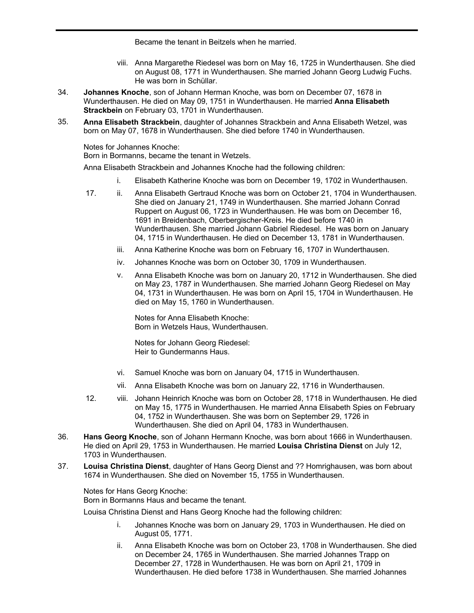Notes for Johann Georg Homrighausen: Became the tenant in Beitzels when he married.

- viii. Anna Margarethe Riedesel was born on May 16, 1725 in Wunderthausen. She died on August 08, 1771 in Wunderthausen. She married Johann Georg Ludwig Fuchs. He was born in Schüllar.
- **Johannes Knoche**, son of Johann Herman Knoche, was born on December 07, 1678 in Wunderthausen. He died on May 09, 1751 in Wunderthausen. He married **Anna Elisabeth Strackbein** on February 03, 1701 in Wunderthausen. 34.
- **Anna Elisabeth Strackbein**, daughter of Johannes Strackbein and Anna Elisabeth Wetzel, was born on May 07, 1678 in Wunderthausen. She died before 1740 in Wunderthausen. 35.

Notes for Johannes Knoche:

Born in Bormanns, became the tenant in Wetzels.

Anna Elisabeth Strackbein and Johannes Knoche had the following children:

- i. Elisabeth Katherine Knoche was born on December 19, 1702 in Wunderthausen.
- 17. ii. Anna Elisabeth Gertraud Knoche was born on October 21, 1704 in Wunderthausen. She died on January 21, 1749 in Wunderthausen. She married Johann Conrad Ruppert on August 06, 1723 in Wunderthausen. He was born on December 16, 1691 in Breidenbach, Oberbergischer-Kreis. He died before 1740 in Wunderthausen. She married Johann Gabriel Riedesel. He was born on January 04, 1715 in Wunderthausen. He died on December 13, 1781 in Wunderthausen.
	- iii. Anna Katherine Knoche was born on February 16, 1707 in Wunderthausen.
	- iv. Johannes Knoche was born on October 30, 1709 in Wunderthausen.
	- v. Anna Elisabeth Knoche was born on January 20, 1712 in Wunderthausen. She died on May 23, 1787 in Wunderthausen. She married Johann Georg Riedesel on May 04, 1731 in Wunderthausen. He was born on April 15, 1704 in Wunderthausen. He died on May 15, 1760 in Wunderthausen.

Notes for Anna Elisabeth Knoche: Born in Wetzels Haus, Wunderthausen.

Notes for Johann Georg Riedesel: Heir to Gundermanns Haus.

- vi. Samuel Knoche was born on January 04, 1715 in Wunderthausen.
- vii. Anna Elisabeth Knoche was born on January 22, 1716 in Wunderthausen.
- 12. viii. Johann Heinrich Knoche was born on October 28, 1718 in Wunderthausen. He died on May 15, 1775 in Wunderthausen. He married Anna Elisabeth Spies on February 04, 1752 in Wunderthausen. She was born on September 29, 1726 in Wunderthausen. She died on April 04, 1783 in Wunderthausen.
- **Hans Georg Knoche**, son of Johann Hermann Knoche, was born about 1666 in Wunderthausen. He died on April 29, 1753 in Wunderthausen. He married **Louisa Christina Dienst** on July 12, 1703 in Wunderthausen. 36.
- **Louisa Christina Dienst**, daughter of Hans Georg Dienst and ?? Homrighausen, was born about 1674 in Wunderthausen. She died on November 15, 1755 in Wunderthausen. 37.

Notes for Hans Georg Knoche: Born in Bormanns Haus and became the tenant.

Louisa Christina Dienst and Hans Georg Knoche had the following children:

- i. Johannes Knoche was born on January 29, 1703 in Wunderthausen. He died on August 05, 1771.
- ii. Anna Elisabeth Knoche was born on October 23, 1708 in Wunderthausen. She died on December 24, 1765 in Wunderthausen. She married Johannes Trapp on December 27, 1728 in Wunderthausen. He was born on April 21, 1709 in Wunderthausen. He died before 1738 in Wunderthausen. She married Johannes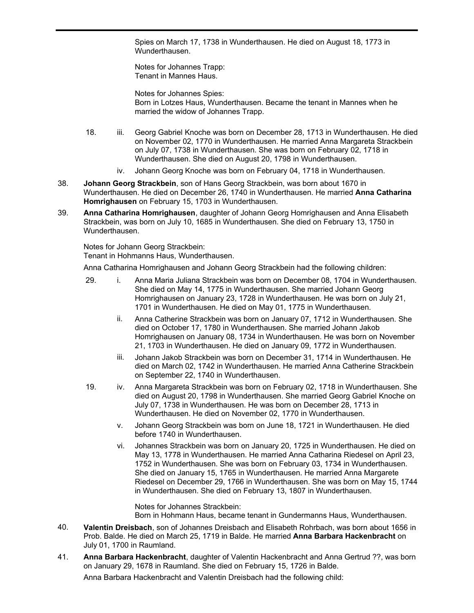Spies on March 17, 1738 in Wunderthausen. He died on August 18, 1773 in Wunderthausen.

Wunderthausen. He died before 1738 in Wunderthausen. She married Johannes

Notes for Johannes Trapp: Tenant in Mannes Haus.

Notes for Johannes Spies: Born in Lotzes Haus, Wunderthausen. Became the tenant in Mannes when he married the widow of Johannes Trapp.

- 18. iii. Georg Gabriel Knoche was born on December 28, 1713 in Wunderthausen. He died on November 02, 1770 in Wunderthausen. He married Anna Margareta Strackbein on July 07, 1738 in Wunderthausen. She was born on February 02, 1718 in Wunderthausen. She died on August 20, 1798 in Wunderthausen.
	- iv. Johann Georg Knoche was born on February 04, 1718 in Wunderthausen.
- **Johann Georg Strackbein**, son of Hans Georg Strackbein, was born about 1670 in Wunderthausen. He died on December 26, 1740 in Wunderthausen. He married **Anna Catharina Homrighausen** on February 15, 1703 in Wunderthausen. 38.
- **Anna Catharina Homrighausen**, daughter of Johann Georg Homrighausen and Anna Elisabeth Strackbein, was born on July 10, 1685 in Wunderthausen. She died on February 13, 1750 in Wunderthausen. 39.

Notes for Johann Georg Strackbein: Tenant in Hohmanns Haus, Wunderthausen.

Anna Catharina Homrighausen and Johann Georg Strackbein had the following children:

- 29. i. Anna Maria Juliana Strackbein was born on December 08, 1704 in Wunderthausen. She died on May 14, 1775 in Wunderthausen. She married Johann Georg Homrighausen on January 23, 1728 in Wunderthausen. He was born on July 21, 1701 in Wunderthausen. He died on May 01, 1775 in Wunderthausen.
	- ii. Anna Catherine Strackbein was born on January 07, 1712 in Wunderthausen. She died on October 17, 1780 in Wunderthausen. She married Johann Jakob Homrighausen on January 08, 1734 in Wunderthausen. He was born on November 21, 1703 in Wunderthausen. He died on January 09, 1772 in Wunderthausen.
	- iii. Johann Jakob Strackbein was born on December 31, 1714 in Wunderthausen. He died on March 02, 1742 in Wunderthausen. He married Anna Catherine Strackbein on September 22, 1740 in Wunderthausen.
- 19. iv. Anna Margareta Strackbein was born on February 02, 1718 in Wunderthausen. She died on August 20, 1798 in Wunderthausen. She married Georg Gabriel Knoche on July 07, 1738 in Wunderthausen. He was born on December 28, 1713 in Wunderthausen. He died on November 02, 1770 in Wunderthausen.
	- v. Johann Georg Strackbein was born on June 18, 1721 in Wunderthausen. He died before 1740 in Wunderthausen.
	- vi. Johannes Strackbein was born on January 20, 1725 in Wunderthausen. He died on May 13, 1778 in Wunderthausen. He married Anna Catharina Riedesel on April 23, 1752 in Wunderthausen. She was born on February 03, 1734 in Wunderthausen. She died on January 15, 1765 in Wunderthausen. He married Anna Margarete Riedesel on December 29, 1766 in Wunderthausen. She was born on May 15, 1744 in Wunderthausen. She died on February 13, 1807 in Wunderthausen.

Notes for Johannes Strackbein: Born in Hohmann Haus, became tenant in Gundermanns Haus, Wunderthausen.

- **Valentin Dreisbach**, son of Johannes Dreisbach and Elisabeth Rohrbach, was born about 1656 in Prob. Balde. He died on March 25, 1719 in Balde. He married **Anna Barbara Hackenbracht** on July 01, 1700 in Raumland. 40.
- **Anna Barbara Hackenbracht**, daughter of Valentin Hackenbracht and Anna Gertrud ??, was born on January 29, 1678 in Raumland. She died on February 15, 1726 in Balde. 41.

Anna Barbara Hackenbracht and Valentin Dreisbach had the following child: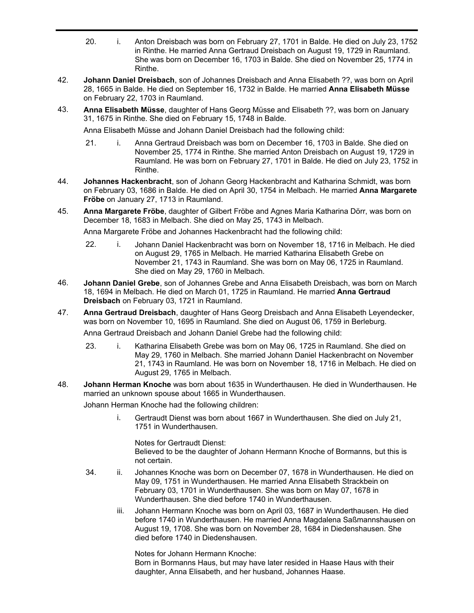- 20. i. Anton Dreisbach was born on February 27, 1701 in Balde. He died on July 23, 1752 in Rinthe. He married Anna Gertraud Dreisbach on August 19, 1729 in Raumland. She was born on December 16, 1703 in Balde. She died on November 25, 1774 in Rinthe.
- **Johann Daniel Dreisbach**, son of Johannes Dreisbach and Anna Elisabeth ??, was born on April 28, 1665 in Balde. He died on September 16, 1732 in Balde. He married **Anna Elisabeth Müsse** on February 22, 1703 in Raumland. 42.
- **Anna Elisabeth Müsse**, daughter of Hans Georg Müsse and Elisabeth ??, was born on January 31, 1675 in Rinthe. She died on February 15, 1748 in Balde. 43.

Anna Elisabeth Müsse and Johann Daniel Dreisbach had the following child:

- 21. i. Anna Gertraud Dreisbach was born on December 16, 1703 in Balde. She died on November 25, 1774 in Rinthe. She married Anton Dreisbach on August 19, 1729 in Raumland. He was born on February 27, 1701 in Balde. He died on July 23, 1752 in Rinthe.
- **Johannes Hackenbracht**, son of Johann Georg Hackenbracht and Katharina Schmidt, was born on February 03, 1686 in Balde. He died on April 30, 1754 in Melbach. He married **Anna Margarete Fröbe** on January 27, 1713 in Raumland. 44.
- **Anna Margarete Fröbe**, daughter of Gilbert Fröbe and Agnes Maria Katharina Dörr, was born on December 18, 1683 in Melbach. She died on May 25, 1743 in Melbach. 45.

Anna Margarete Fröbe and Johannes Hackenbracht had the following child:

- 22. i. Johann Daniel Hackenbracht was born on November 18, 1716 in Melbach. He died on August 29, 1765 in Melbach. He married Katharina Elisabeth Grebe on November 21, 1743 in Raumland. She was born on May 06, 1725 in Raumland. She died on May 29, 1760 in Melbach.
- **Johann Daniel Grebe**, son of Johannes Grebe and Anna Elisabeth Dreisbach, was born on March 18, 1694 in Melbach. He died on March 01, 1725 in Raumland. He married **Anna Gertraud Dreisbach** on February 03, 1721 in Raumland. 46.
- **Anna Gertraud Dreisbach**, daughter of Hans Georg Dreisbach and Anna Elisabeth Leyendecker, was born on November 10, 1695 in Raumland. She died on August 06, 1759 in Berleburg. 47.

Anna Gertraud Dreisbach and Johann Daniel Grebe had the following child:

- 23. i. Katharina Elisabeth Grebe was born on May 06, 1725 in Raumland. She died on May 29, 1760 in Melbach. She married Johann Daniel Hackenbracht on November 21, 1743 in Raumland. He was born on November 18, 1716 in Melbach. He died on August 29, 1765 in Melbach.
- **Johann Herman Knoche** was born about 1635 in Wunderthausen. He died in Wunderthausen. He married an unknown spouse about 1665 in Wunderthausen. 48.

Johann Herman Knoche had the following children:

i. Gertraudt Dienst was born about 1667 in Wunderthausen. She died on July 21, 1751 in Wunderthausen.

Notes for Gertraudt Dienst: Believed to be the daughter of Johann Hermann Knoche of Bormanns, but this is not certain.

- 34. ii. Johannes Knoche was born on December 07, 1678 in Wunderthausen. He died on May 09, 1751 in Wunderthausen. He married Anna Elisabeth Strackbein on February 03, 1701 in Wunderthausen. She was born on May 07, 1678 in Wunderthausen. She died before 1740 in Wunderthausen.
	- iii. Johann Hermann Knoche was born on April 03, 1687 in Wunderthausen. He died before 1740 in Wunderthausen. He married Anna Magdalena Saßmannshausen on August 19, 1708. She was born on November 28, 1684 in Diedenshausen. She died before 1740 in Diedenshausen.

Notes for Johann Hermann Knoche: Born in Bormanns Haus, but may have later resided in Haase Haus with their daughter, Anna Elisabeth, and her husband, Johannes Haase.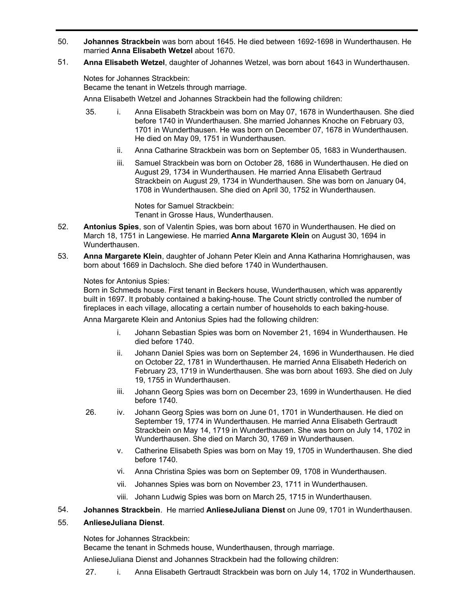- **Johannes Strackbein** was born about 1645. He died between 1692-1698 in Wunderthausen. He married **Anna Elisabeth Wetzel** about 1670. 50.
- **Anna Elisabeth Wetzel**, daughter of Johannes Wetzel, was born about 1643 in Wunderthausen. 51.

Notes for Johannes Strackbein:

Became the tenant in Wetzels through marriage.

Anna Elisabeth Wetzel and Johannes Strackbein had the following children:

- 35. i. Anna Elisabeth Strackbein was born on May 07, 1678 in Wunderthausen. She died before 1740 in Wunderthausen. She married Johannes Knoche on February 03, 1701 in Wunderthausen. He was born on December 07, 1678 in Wunderthausen. He died on May 09, 1751 in Wunderthausen.
	- ii. Anna Catharine Strackbein was born on September 05, 1683 in Wunderthausen.
	- iii. Samuel Strackbein was born on October 28, 1686 in Wunderthausen. He died on August 29, 1734 in Wunderthausen. He married Anna Elisabeth Gertraud Strackbein on August 29, 1734 in Wunderthausen. She was born on January 04, 1708 in Wunderthausen. She died on April 30, 1752 in Wunderthausen.

Notes for Samuel Strackbein:

Tenant in Grosse Haus, Wunderthausen.

- **Antonius Spies**, son of Valentin Spies, was born about 1670 in Wunderthausen. He died on March 18, 1751 in Langewiese. He married **Anna Margarete Klein** on August 30, 1694 in Wunderthausen. 52.
- **Anna Margarete Klein**, daughter of Johann Peter Klein and Anna Katharina Homrighausen, was born about 1669 in Dachsloch. She died before 1740 in Wunderthausen. 53.

# Notes for Antonius Spies:

Born in Schmeds house. First tenant in Beckers house, Wunderthausen, which was apparently built in 1697. It probably contained a baking-house. The Count strictly controlled the number of fireplaces in each village, allocating a certain number of households to each baking-house.

Anna Margarete Klein and Antonius Spies had the following children:

- i. Johann Sebastian Spies was born on November 21, 1694 in Wunderthausen. He died before 1740.
- ii. Johann Daniel Spies was born on September 24, 1696 in Wunderthausen. He died on October 22, 1781 in Wunderthausen. He married Anna Elisabeth Hederich on February 23, 1719 in Wunderthausen. She was born about 1693. She died on July 19, 1755 in Wunderthausen.
- iii. Johann Georg Spies was born on December 23, 1699 in Wunderthausen. He died before 1740.
- 26. iv. Johann Georg Spies was born on June 01, 1701 in Wunderthausen. He died on September 19, 1774 in Wunderthausen. He married Anna Elisabeth Gertraudt Strackbein on May 14, 1719 in Wunderthausen. She was born on July 14, 1702 in Wunderthausen. She died on March 30, 1769 in Wunderthausen.
	- v. Catherine Elisabeth Spies was born on May 19, 1705 in Wunderthausen. She died before 1740.
	- vi. Anna Christina Spies was born on September 09, 1708 in Wunderthausen.
	- vii. Johannes Spies was born on November 23, 1711 in Wunderthausen.
	- viii. Johann Ludwig Spies was born on March 25, 1715 in Wunderthausen.
- 54. **Johannes Strackbein**. He married **AnlieseJuliana Dienst** on June 09, 1701 in Wunderthausen.

#### **AnlieseJuliana Dienst**. 55.

Notes for Johannes Strackbein:

Became the tenant in Schmeds house, Wunderthausen, through marriage.

AnlieseJuliana Dienst and Johannes Strackbein had the following children:

27. i. Anna Elisabeth Gertraudt Strackbein was born on July 14, 1702 in Wunderthausen.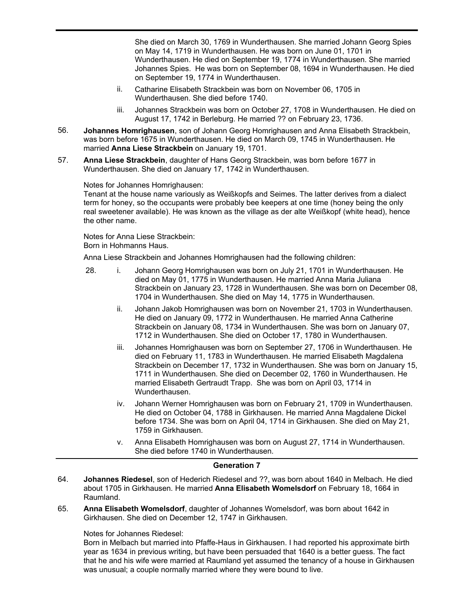27. i. Anna Elisabeth Gertraudt Strackbein was born on July 14, 1702 in Wunderthausen. She died on March 30, 1769 in Wunderthausen. She married Johann Georg Spies on May 14, 1719 in Wunderthausen. He was born on June 01, 1701 in Wunderthausen. He died on September 19, 1774 in Wunderthausen. She married Johannes Spies. He was born on September 08, 1694 in Wunderthausen. He died on September 19, 1774 in Wunderthausen.

- ii. Catharine Elisabeth Strackbein was born on November 06, 1705 in Wunderthausen. She died before 1740.
- iii. Johannes Strackbein was born on October 27, 1708 in Wunderthausen. He died on August 17, 1742 in Berleburg. He married ?? on February 23, 1736.
- **Johannes Homrighausen**, son of Johann Georg Homrighausen and Anna Elisabeth Strackbein, was born before 1675 in Wunderthausen. He died on March 09, 1745 in Wunderthausen. He married **Anna Liese Strackbein** on January 19, 1701. 56.
- **Anna Liese Strackbein**, daughter of Hans Georg Strackbein, was born before 1677 in Wunderthausen. She died on January 17, 1742 in Wunderthausen. 57.

Notes for Johannes Homrighausen:

Tenant at the house name variously as Weißkopfs and Seimes. The latter derives from a dialect term for honey, so the occupants were probably bee keepers at one time (honey being the only real sweetener available). He was known as the village as der alte Weißkopf (white head), hence the other name.

Notes for Anna Liese Strackbein: Born in Hohmanns Haus.

Anna Liese Strackbein and Johannes Homrighausen had the following children:

- 28. i. Johann Georg Homrighausen was born on July 21, 1701 in Wunderthausen. He died on May 01, 1775 in Wunderthausen. He married Anna Maria Juliana Strackbein on January 23, 1728 in Wunderthausen. She was born on December 08, 1704 in Wunderthausen. She died on May 14, 1775 in Wunderthausen.
	- ii. Johann Jakob Homrighausen was born on November 21, 1703 in Wunderthausen. He died on January 09, 1772 in Wunderthausen. He married Anna Catherine Strackbein on January 08, 1734 in Wunderthausen. She was born on January 07, 1712 in Wunderthausen. She died on October 17, 1780 in Wunderthausen.
	- iii. Johannes Homrighausen was born on September 27, 1706 in Wunderthausen. He died on February 11, 1783 in Wunderthausen. He married Elisabeth Magdalena Strackbein on December 17, 1732 in Wunderthausen. She was born on January 15, 1711 in Wunderthausen. She died on December 02, 1760 in Wunderthausen. He married Elisabeth Gertraudt Trapp. She was born on April 03, 1714 in Wunderthausen.
	- iv. Johann Werner Homrighausen was born on February 21, 1709 in Wunderthausen. He died on October 04, 1788 in Girkhausen. He married Anna Magdalene Dickel before 1734. She was born on April 04, 1714 in Girkhausen. She died on May 21, 1759 in Girkhausen.
	- v. Anna Elisabeth Homrighausen was born on August 27, 1714 in Wunderthausen. She died before 1740 in Wunderthausen.

# **Generation 7**

- **Johannes Riedesel**, son of Hederich Riedesel and ??, was born about 1640 in Melbach. He died about 1705 in Girkhausen. He married **Anna Elisabeth Womelsdorf** on February 18, 1664 in Raumland. 64.
- **Anna Elisabeth Womelsdorf**, daughter of Johannes Womelsdorf, was born about 1642 in Girkhausen. She died on December 12, 1747 in Girkhausen. 65.

#### Notes for Johannes Riedesel:

Born in Melbach but married into Pfaffe-Haus in Girkhausen. I had reported his approximate birth year as 1634 in previous writing, but have been persuaded that 1640 is a better guess. The fact that he and his wife were married at Raumland yet assumed the tenancy of a house in Girkhausen was unusual; a couple normally married where they were bound to live.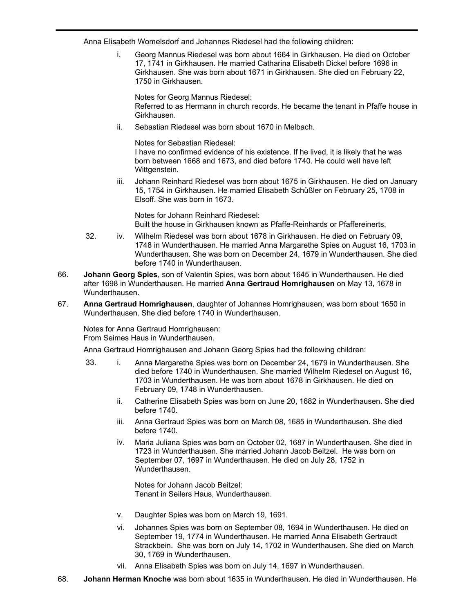Anna Elisabeth Womelsdorf and Johannes Riedesel had the following children:

i. Georg Mannus Riedesel was born about 1664 in Girkhausen. He died on October 17, 1741 in Girkhausen. He married Catharina Elisabeth Dickel before 1696 in Girkhausen. She was born about 1671 in Girkhausen. She died on February 22, 1750 in Girkhausen.

Notes for Georg Mannus Riedesel: Referred to as Hermann in church records. He became the tenant in Pfaffe house in Girkhausen.

ii. Sebastian Riedesel was born about 1670 in Melbach.

Notes for Sebastian Riedesel: I have no confirmed evidence of his existence. If he lived, it is likely that he was born between 1668 and 1673, and died before 1740. He could well have left Wittgenstein.

iii. Johann Reinhard Riedesel was born about 1675 in Girkhausen. He died on January 15, 1754 in Girkhausen. He married Elisabeth Schüßler on February 25, 1708 in Elsoff. She was born in 1673.

Notes for Johann Reinhard Riedesel: Built the house in Girkhausen known as Pfaffe-Reinhards or Pfaffereinerts.

- 32. iv. Wilhelm Riedesel was born about 1678 in Girkhausen. He died on February 09, 1748 in Wunderthausen. He married Anna Margarethe Spies on August 16, 1703 in Wunderthausen. She was born on December 24, 1679 in Wunderthausen. She died before 1740 in Wunderthausen.
- **Johann Georg Spies**, son of Valentin Spies, was born about 1645 in Wunderthausen. He died after 1698 in Wunderthausen. He married **Anna Gertraud Homrighausen** on May 13, 1678 in Wunderthausen. 66.
- **Anna Gertraud Homrighausen**, daughter of Johannes Homrighausen, was born about 1650 in Wunderthausen. She died before 1740 in Wunderthausen. 67.

Notes for Anna Gertraud Homrighausen: From Seimes Haus in Wunderthausen.

Anna Gertraud Homrighausen and Johann Georg Spies had the following children:

- 33. i. Anna Margarethe Spies was born on December 24, 1679 in Wunderthausen. She died before 1740 in Wunderthausen. She married Wilhelm Riedesel on August 16, 1703 in Wunderthausen. He was born about 1678 in Girkhausen. He died on February 09, 1748 in Wunderthausen.
	- ii. Catherine Elisabeth Spies was born on June 20, 1682 in Wunderthausen. She died before 1740.
	- iii. Anna Gertraud Spies was born on March 08, 1685 in Wunderthausen. She died before 1740.
	- iv. Maria Juliana Spies was born on October 02, 1687 in Wunderthausen. She died in 1723 in Wunderthausen. She married Johann Jacob Beitzel. He was born on September 07, 1697 in Wunderthausen. He died on July 28, 1752 in Wunderthausen.

Notes for Johann Jacob Beitzel: Tenant in Seilers Haus, Wunderthausen.

- v. Daughter Spies was born on March 19, 1691.
- vi. Johannes Spies was born on September 08, 1694 in Wunderthausen. He died on September 19, 1774 in Wunderthausen. He married Anna Elisabeth Gertraudt Strackbein. She was born on July 14, 1702 in Wunderthausen. She died on March 30, 1769 in Wunderthausen.
- vii. Anna Elisabeth Spies was born on July 14, 1697 in Wunderthausen.
- 68. **Johann Herman Knoche** was born about 1635 in Wunderthausen. He died in Wunderthausen. He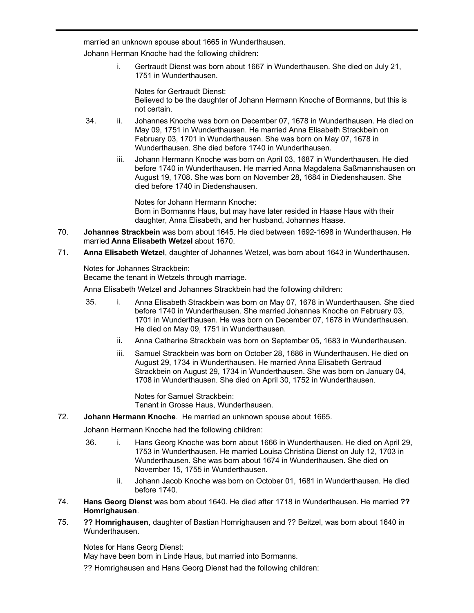married an unknown spouse about 1665 in Wunderthausen.

Johann Herman Knoche had the following children:

68.

i. Gertraudt Dienst was born about 1667 in Wunderthausen. She died on July 21, 1751 in Wunderthausen.

**Johann Herman Knoche** was born about 1635 in Wunderthausen. He died in Wunderthausen. He

Notes for Gertraudt Dienst: Believed to be the daughter of Johann Hermann Knoche of Bormanns, but this is not certain.

- 34. ii. Johannes Knoche was born on December 07, 1678 in Wunderthausen. He died on May 09, 1751 in Wunderthausen. He married Anna Elisabeth Strackbein on February 03, 1701 in Wunderthausen. She was born on May 07, 1678 in Wunderthausen. She died before 1740 in Wunderthausen.
	- iii. Johann Hermann Knoche was born on April 03, 1687 in Wunderthausen. He died before 1740 in Wunderthausen. He married Anna Magdalena Saßmannshausen on August 19, 1708. She was born on November 28, 1684 in Diedenshausen. She died before 1740 in Diedenshausen.

Notes for Johann Hermann Knoche: Born in Bormanns Haus, but may have later resided in Haase Haus with their daughter, Anna Elisabeth, and her husband, Johannes Haase.

- **Johannes Strackbein** was born about 1645. He died between 1692-1698 in Wunderthausen. He married **Anna Elisabeth Wetzel** about 1670. 70.
- **Anna Elisabeth Wetzel**, daughter of Johannes Wetzel, was born about 1643 in Wunderthausen. 71.

Notes for Johannes Strackbein:

Became the tenant in Wetzels through marriage.

Anna Elisabeth Wetzel and Johannes Strackbein had the following children:

- 35. i. Anna Elisabeth Strackbein was born on May 07, 1678 in Wunderthausen. She died before 1740 in Wunderthausen. She married Johannes Knoche on February 03, 1701 in Wunderthausen. He was born on December 07, 1678 in Wunderthausen. He died on May 09, 1751 in Wunderthausen.
	- ii. Anna Catharine Strackbein was born on September 05, 1683 in Wunderthausen.
	- iii. Samuel Strackbein was born on October 28, 1686 in Wunderthausen. He died on August 29, 1734 in Wunderthausen. He married Anna Elisabeth Gertraud Strackbein on August 29, 1734 in Wunderthausen. She was born on January 04, 1708 in Wunderthausen. She died on April 30, 1752 in Wunderthausen.

Notes for Samuel Strackbein: Tenant in Grosse Haus, Wunderthausen.

# 72. **Johann Hermann Knoche**. He married an unknown spouse about 1665.

Johann Hermann Knoche had the following children:

- 36. i. Hans Georg Knoche was born about 1666 in Wunderthausen. He died on April 29, 1753 in Wunderthausen. He married Louisa Christina Dienst on July 12, 1703 in Wunderthausen. She was born about 1674 in Wunderthausen. She died on November 15, 1755 in Wunderthausen.
	- ii. Johann Jacob Knoche was born on October 01, 1681 in Wunderthausen. He died before 1740.
- **Hans Georg Dienst** was born about 1640. He died after 1718 in Wunderthausen. He married **?? Homrighausen**. 74.
- **?? Homrighausen**, daughter of Bastian Homrighausen and ?? Beitzel, was born about 1640 in Wunderthausen. 75.

Notes for Hans Georg Dienst:

May have been born in Linde Haus, but married into Bormanns.

?? Homrighausen and Hans Georg Dienst had the following children: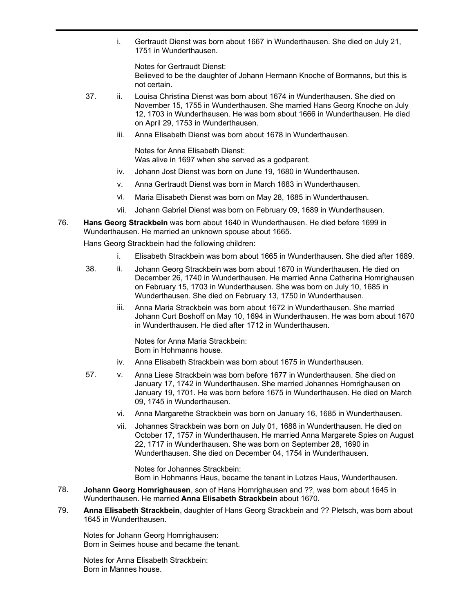i. Gertraudt Dienst was born about 1667 in Wunderthausen. She died on July 21, 1751 in Wunderthausen.

Notes for Gertraudt Dienst: Believed to be the daughter of Johann Hermann Knoche of Bormanns, but this is not certain.

- 37. ii. Louisa Christina Dienst was born about 1674 in Wunderthausen. She died on November 15, 1755 in Wunderthausen. She married Hans Georg Knoche on July 12, 1703 in Wunderthausen. He was born about 1666 in Wunderthausen. He died on April 29, 1753 in Wunderthausen.
	- iii. Anna Elisabeth Dienst was born about 1678 in Wunderthausen.

Notes for Anna Elisabeth Dienst: Was alive in 1697 when she served as a godparent.

- iv. Johann Jost Dienst was born on June 19, 1680 in Wunderthausen.
- v. Anna Gertraudt Dienst was born in March 1683 in Wunderthausen.
- vi. Maria Elisabeth Dienst was born on May 28, 1685 in Wunderthausen.
- vii. Johann Gabriel Dienst was born on February 09, 1689 in Wunderthausen.
- **Hans Georg Strackbein** was born about 1640 in Wunderthausen. He died before 1699 in Wunderthausen. He married an unknown spouse about 1665. 76.

Hans Georg Strackbein had the following children:

- i. Elisabeth Strackbein was born about 1665 in Wunderthausen. She died after 1689.
- 38. ii. Johann Georg Strackbein was born about 1670 in Wunderthausen. He died on December 26, 1740 in Wunderthausen. He married Anna Catharina Homrighausen on February 15, 1703 in Wunderthausen. She was born on July 10, 1685 in Wunderthausen. She died on February 13, 1750 in Wunderthausen.
	- iii. Anna Maria Strackbein was born about 1672 in Wunderthausen. She married Johann Curt Boshoff on May 10, 1694 in Wunderthausen. He was born about 1670 in Wunderthausen. He died after 1712 in Wunderthausen.

Notes for Anna Maria Strackbein: Born in Hohmanns house.

- iv. Anna Elisabeth Strackbein was born about 1675 in Wunderthausen.
- 57. v. Anna Liese Strackbein was born before 1677 in Wunderthausen. She died on January 17, 1742 in Wunderthausen. She married Johannes Homrighausen on January 19, 1701. He was born before 1675 in Wunderthausen. He died on March 09, 1745 in Wunderthausen.
	- vi. Anna Margarethe Strackbein was born on January 16, 1685 in Wunderthausen.
	- vii. Johannes Strackbein was born on July 01, 1688 in Wunderthausen. He died on October 17, 1757 in Wunderthausen. He married Anna Margarete Spies on August 22, 1717 in Wunderthausen. She was born on September 28, 1690 in Wunderthausen. She died on December 04, 1754 in Wunderthausen.

Notes for Johannes Strackbein: Born in Hohmanns Haus, became the tenant in Lotzes Haus, Wunderthausen.

- **Johann Georg Homrighausen**, son of Hans Homrighausen and ??, was born about 1645 in Wunderthausen. He married **Anna Elisabeth Strackbein** about 1670. 78.
- **Anna Elisabeth Strackbein**, daughter of Hans Georg Strackbein and ?? Pletsch, was born about 1645 in Wunderthausen. 79.

Notes for Johann Georg Homrighausen: Born in Seimes house and became the tenant.

Notes for Anna Elisabeth Strackbein: Born in Mannes house.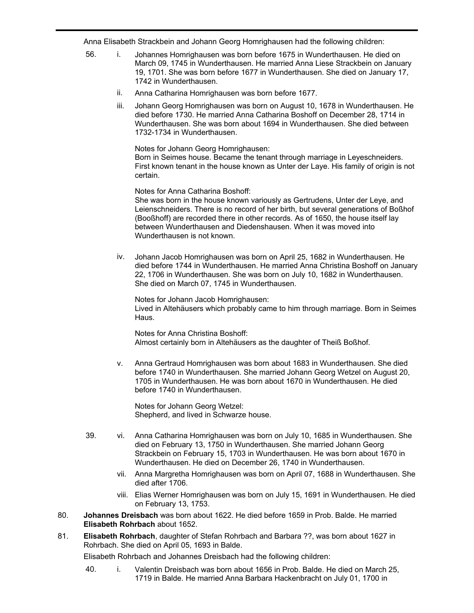Anna Elisabeth Strackbein and Johann Georg Homrighausen had the following children:

- 56. i. Johannes Homrighausen was born before 1675 in Wunderthausen. He died on March 09, 1745 in Wunderthausen. He married Anna Liese Strackbein on January 19, 1701. She was born before 1677 in Wunderthausen. She died on January 17, 1742 in Wunderthausen.
	- ii. Anna Catharina Homrighausen was born before 1677.
	- iii. Johann Georg Homrighausen was born on August 10, 1678 in Wunderthausen. He died before 1730. He married Anna Catharina Boshoff on December 28, 1714 in Wunderthausen. She was born about 1694 in Wunderthausen. She died between 1732-1734 in Wunderthausen.

Notes for Johann Georg Homrighausen: Born in Seimes house. Became the tenant through marriage in Leyeschneiders. First known tenant in the house known as Unter der Laye. His family of origin is not certain.

Notes for Anna Catharina Boshoff:

She was born in the house known variously as Gertrudens, Unter der Leye, and Leienschneiders. There is no record of her birth, but several generations of Boßhof (Booßhoff) are recorded there in other records. As of 1650, the house itself lay between Wunderthausen and Diedenshausen. When it was moved into Wunderthausen is not known.

iv. Johann Jacob Homrighausen was born on April 25, 1682 in Wunderthausen. He died before 1744 in Wunderthausen. He married Anna Christina Boshoff on January 22, 1706 in Wunderthausen. She was born on July 10, 1682 in Wunderthausen. She died on March 07, 1745 in Wunderthausen.

Notes for Johann Jacob Homrighausen: Lived in Altehäusers which probably came to him through marriage. Born in Seimes **Haus** 

Notes for Anna Christina Boshoff: Almost certainly born in Altehäusers as the daughter of Theiß Boßhof.

v. Anna Gertraud Homrighausen was born about 1683 in Wunderthausen. She died before 1740 in Wunderthausen. She married Johann Georg Wetzel on August 20, 1705 in Wunderthausen. He was born about 1670 in Wunderthausen. He died before 1740 in Wunderthausen.

Notes for Johann Georg Wetzel: Shepherd, and lived in Schwarze house.

- 39. vi. Anna Catharina Homrighausen was born on July 10, 1685 in Wunderthausen. She died on February 13, 1750 in Wunderthausen. She married Johann Georg Strackbein on February 15, 1703 in Wunderthausen. He was born about 1670 in Wunderthausen. He died on December 26, 1740 in Wunderthausen.
	- vii. Anna Margretha Homrighausen was born on April 07, 1688 in Wunderthausen. She died after 1706.
	- viii. Elias Werner Homrighausen was born on July 15, 1691 in Wunderthausen. He died on February 13, 1753.
- **Johannes Dreisbach** was born about 1622. He died before 1659 in Prob. Balde. He married **Elisabeth Rohrbach** about 1652. 80.
- **Elisabeth Rohrbach**, daughter of Stefan Rohrbach and Barbara ??, was born about 1627 in Rohrbach. She died on April 05, 1693 in Balde. 81.

Elisabeth Rohrbach and Johannes Dreisbach had the following children:

40. i. Valentin Dreisbach was born about 1656 in Prob. Balde. He died on March 25, 1719 in Balde. He married Anna Barbara Hackenbracht on July 01, 1700 in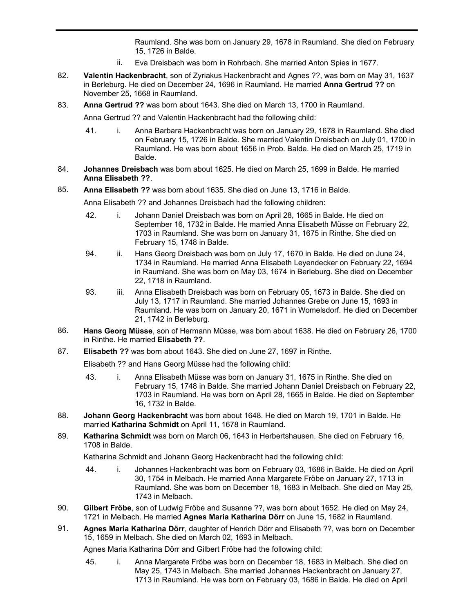1719 in Balde. He married Anna Barbara Hackenbracht on July 01, 1700 in Raumland. She was born on January 29, 1678 in Raumland. She died on February 15, 1726 in Balde.

- ii. Eva Dreisbach was born in Rohrbach. She married Anton Spies in 1677.
- **Valentin Hackenbracht**, son of Zyriakus Hackenbracht and Agnes ??, was born on May 31, 1637 in Berleburg. He died on December 24, 1696 in Raumland. He married **Anna Gertrud ??** on November 25, 1668 in Raumland. 82.
- 83. **Anna Gertrud ??** was born about 1643. She died on March 13, 1700 in Raumland.

Anna Gertrud ?? and Valentin Hackenbracht had the following child:

- 41. i. Anna Barbara Hackenbracht was born on January 29, 1678 in Raumland. She died on February 15, 1726 in Balde. She married Valentin Dreisbach on July 01, 1700 in Raumland. He was born about 1656 in Prob. Balde. He died on March 25, 1719 in Balde.
- **Johannes Dreisbach** was born about 1625. He died on March 25, 1699 in Balde. He married **Anna Elisabeth ??**. 84.
- 85. **Anna Elisabeth ??** was born about 1635. She died on June 13, 1716 in Balde.

Anna Elisabeth ?? and Johannes Dreisbach had the following children:

- 42. i. Johann Daniel Dreisbach was born on April 28, 1665 in Balde. He died on September 16, 1732 in Balde. He married Anna Elisabeth Müsse on February 22, 1703 in Raumland. She was born on January 31, 1675 in Rinthe. She died on February 15, 1748 in Balde.
- 94. ii. Hans Georg Dreisbach was born on July 17, 1670 in Balde. He died on June 24, 1734 in Raumland. He married Anna Elisabeth Leyendecker on February 22, 1694 in Raumland. She was born on May 03, 1674 in Berleburg. She died on December 22, 1718 in Raumland.
- 93. iii. Anna Elisabeth Dreisbach was born on February 05, 1673 in Balde. She died on July 13, 1717 in Raumland. She married Johannes Grebe on June 15, 1693 in Raumland. He was born on January 20, 1671 in Womelsdorf. He died on December 21, 1742 in Berleburg.
- **Hans Georg Müsse**, son of Hermann Müsse, was born about 1638. He died on February 26, 1700 in Rinthe. He married **Elisabeth ??**. 86.
- 87. **Elisabeth ??** was born about 1643. She died on June 27, 1697 in Rinthe.

Elisabeth ?? and Hans Georg Müsse had the following child:

- 43. i. Anna Elisabeth Müsse was born on January 31, 1675 in Rinthe. She died on February 15, 1748 in Balde. She married Johann Daniel Dreisbach on February 22, 1703 in Raumland. He was born on April 28, 1665 in Balde. He died on September 16, 1732 in Balde.
- **Johann Georg Hackenbracht** was born about 1648. He died on March 19, 1701 in Balde. He married **Katharina Schmidt** on April 11, 1678 in Raumland. 88.
- **Katharina Schmidt** was born on March 06, 1643 in Herbertshausen. She died on February 16, 1708 in Balde. 89.

Katharina Schmidt and Johann Georg Hackenbracht had the following child:

- 44. i. Johannes Hackenbracht was born on February 03, 1686 in Balde. He died on April 30, 1754 in Melbach. He married Anna Margarete Fröbe on January 27, 1713 in Raumland. She was born on December 18, 1683 in Melbach. She died on May 25, 1743 in Melbach.
- **Gilbert Fröbe**, son of Ludwig Fröbe and Susanne ??, was born about 1652. He died on May 24, 1721 in Melbach. He married **Agnes Maria Katharina Dörr** on June 15, 1682 in Raumland. 90.
- **Agnes Maria Katharina Dörr**, daughter of Henrich Dörr and Elisabeth ??, was born on December 15, 1659 in Melbach. She died on March 02, 1693 in Melbach. 91.

Agnes Maria Katharina Dörr and Gilbert Fröbe had the following child:

45. i. Anna Margarete Fröbe was born on December 18, 1683 in Melbach. She died on May 25, 1743 in Melbach. She married Johannes Hackenbracht on January 27, 1713 in Raumland. He was born on February 03, 1686 in Balde. He died on April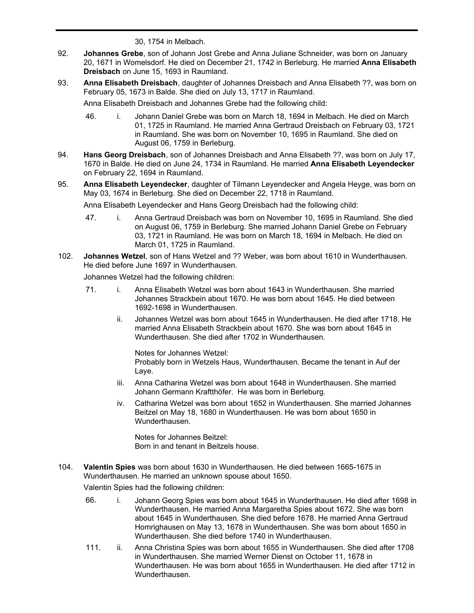30, 1754 in Melbach.

- **Johannes Grebe**, son of Johann Jost Grebe and Anna Juliane Schneider, was born on January 20, 1671 in Womelsdorf. He died on December 21, 1742 in Berleburg. He married **Anna Elisabeth Dreisbach** on June 15, 1693 in Raumland. 92.
- **Anna Elisabeth Dreisbach**, daughter of Johannes Dreisbach and Anna Elisabeth ??, was born on February 05, 1673 in Balde. She died on July 13, 1717 in Raumland. 93.

Anna Elisabeth Dreisbach and Johannes Grebe had the following child:

46. i. Johann Daniel Grebe was born on March 18, 1694 in Melbach. He died on March 01, 1725 in Raumland. He married Anna Gertraud Dreisbach on February 03, 1721 in Raumland. She was born on November 10, 1695 in Raumland. She died on August 06, 1759 in Berleburg.

1713 in Raumland. He was born on February 03, 1686 in Balde. He died on April

- **Hans Georg Dreisbach**, son of Johannes Dreisbach and Anna Elisabeth ??, was born on July 17, 1670 in Balde. He died on June 24, 1734 in Raumland. He married **Anna Elisabeth Leyendecker** on February 22, 1694 in Raumland. 94.
- **Anna Elisabeth Leyendecker**, daughter of Tilmann Leyendecker and Angela Heyge, was born on May 03, 1674 in Berleburg. She died on December 22, 1718 in Raumland. 95.

Anna Elisabeth Leyendecker and Hans Georg Dreisbach had the following child:

- 47. i. Anna Gertraud Dreisbach was born on November 10, 1695 in Raumland. She died on August 06, 1759 in Berleburg. She married Johann Daniel Grebe on February 03, 1721 in Raumland. He was born on March 18, 1694 in Melbach. He died on March 01, 1725 in Raumland.
- **Johannes Wetzel**, son of Hans Wetzel and ?? Weber, was born about 1610 in Wunderthausen. He died before June 1697 in Wunderthausen. 102.

Johannes Wetzel had the following children:

- 71. i. Anna Elisabeth Wetzel was born about 1643 in Wunderthausen. She married Johannes Strackbein about 1670. He was born about 1645. He died between 1692-1698 in Wunderthausen.
	- ii. Johannes Wetzel was born about 1645 in Wunderthausen. He died after 1718. He married Anna Elisabeth Strackbein about 1670. She was born about 1645 in Wunderthausen. She died after 1702 in Wunderthausen.

Notes for Johannes Wetzel: Probably born in Wetzels Haus, Wunderthausen. Became the tenant in Auf der Laye.

- iii. Anna Catharina Wetzel was born about 1648 in Wunderthausen. She married Johann Germann Kraftthöfer. He was born in Berleburg.
- iv. Catharina Wetzel was born about 1652 in Wunderthausen. She married Johannes Beitzel on May 18, 1680 in Wunderthausen. He was born about 1650 in Wunderthausen.

Notes for Johannes Beitzel: Born in and tenant in Beitzels house.

**Valentin Spies** was born about 1630 in Wunderthausen. He died between 1665-1675 in Wunderthausen. He married an unknown spouse about 1650.  $104.$ 

Valentin Spies had the following children:

- 66. i. Johann Georg Spies was born about 1645 in Wunderthausen. He died after 1698 in Wunderthausen. He married Anna Margaretha Spies about 1672. She was born about 1645 in Wunderthausen. She died before 1678. He married Anna Gertraud Homrighausen on May 13, 1678 in Wunderthausen. She was born about 1650 in Wunderthausen. She died before 1740 in Wunderthausen.
- 111. ii. Anna Christina Spies was born about 1655 in Wunderthausen. She died after 1708 in Wunderthausen. She married Werner Dienst on October 11, 1678 in Wunderthausen. He was born about 1655 in Wunderthausen. He died after 1712 in Wunderthausen.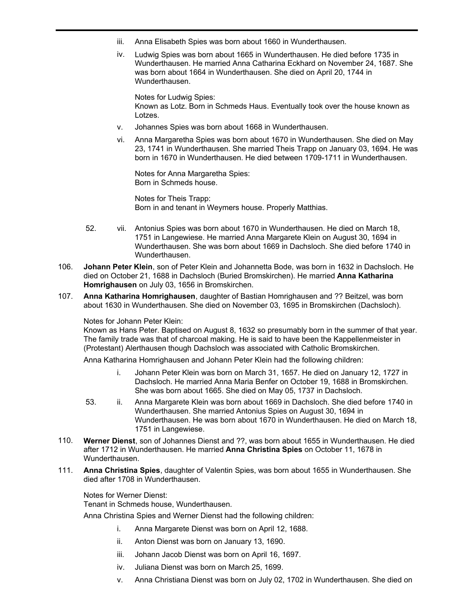- iii. Anna Elisabeth Spies was born about 1660 in Wunderthausen.
- iv. Ludwig Spies was born about 1665 in Wunderthausen. He died before 1735 in Wunderthausen. He married Anna Catharina Eckhard on November 24, 1687. She was born about 1664 in Wunderthausen. She died on April 20, 1744 in Wunderthausen.

Notes for Ludwig Spies: Known as Lotz. Born in Schmeds Haus. Eventually took over the house known as Lotzes.

- v. Johannes Spies was born about 1668 in Wunderthausen.
- vi. Anna Margaretha Spies was born about 1670 in Wunderthausen. She died on May 23, 1741 in Wunderthausen. She married Theis Trapp on January 03, 1694. He was born in 1670 in Wunderthausen. He died between 1709-1711 in Wunderthausen.

Notes for Anna Margaretha Spies: Born in Schmeds house.

Notes for Theis Trapp: Born in and tenant in Weymers house. Properly Matthias.

- 52. vii. Antonius Spies was born about 1670 in Wunderthausen. He died on March 18, 1751 in Langewiese. He married Anna Margarete Klein on August 30, 1694 in Wunderthausen. She was born about 1669 in Dachsloch. She died before 1740 in Wunderthausen.
- **Johann Peter Klein**, son of Peter Klein and Johannetta Bode, was born in 1632 in Dachsloch. He died on October 21, 1688 in Dachsloch (Buried Bromskirchen). He married **Anna Katharina Homrighausen** on July 03, 1656 in Bromskirchen. 106.
- **Anna Katharina Homrighausen**, daughter of Bastian Homrighausen and ?? Beitzel, was born about 1630 in Wunderthausen. She died on November 03, 1695 in Bromskirchen (Dachsloch). 107.

# Notes for Johann Peter Klein:

Known as Hans Peter. Baptised on August 8, 1632 so presumably born in the summer of that year. The family trade was that of charcoal making. He is said to have been the Kappellenmeister in (Protestant) Alerthausen though Dachsloch was associated with Catholic Bromskirchen.

Anna Katharina Homrighausen and Johann Peter Klein had the following children:

- i. Johann Peter Klein was born on March 31, 1657. He died on January 12, 1727 in Dachsloch. He married Anna Maria Benfer on October 19, 1688 in Bromskirchen. She was born about 1665. She died on May 05, 1737 in Dachsloch.
- 53. ii. Anna Margarete Klein was born about 1669 in Dachsloch. She died before 1740 in Wunderthausen. She married Antonius Spies on August 30, 1694 in Wunderthausen. He was born about 1670 in Wunderthausen. He died on March 18, 1751 in Langewiese.
- **Werner Dienst**, son of Johannes Dienst and ??, was born about 1655 in Wunderthausen. He died after 1712 in Wunderthausen. He married **Anna Christina Spies** on October 11, 1678 in Wunderthausen. 110.
- **Anna Christina Spies**, daughter of Valentin Spies, was born about 1655 in Wunderthausen. She died after 1708 in Wunderthausen. 111.

Notes for Werner Dienst:

Tenant in Schmeds house, Wunderthausen.

Anna Christina Spies and Werner Dienst had the following children:

- i. Anna Margarete Dienst was born on April 12, 1688.
- ii. Anton Dienst was born on January 13, 1690.
- iii. Johann Jacob Dienst was born on April 16, 1697.
- iv. Juliana Dienst was born on March 25, 1699.
- v. Anna Christiana Dienst was born on July 02, 1702 in Wunderthausen. She died on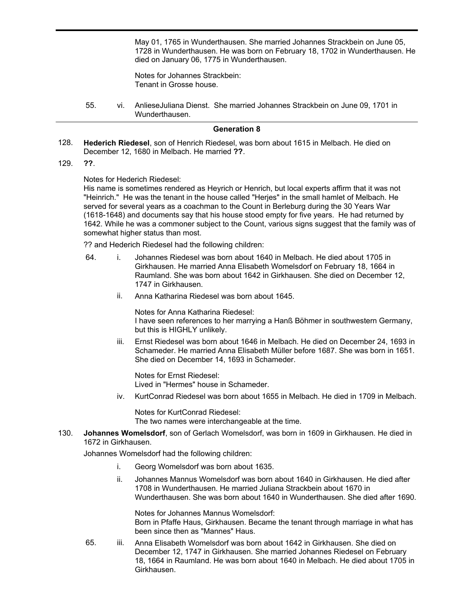v. Anna Christiana Dienst was born on July 02, 1702 in Wunderthausen. She died on May 01, 1765 in Wunderthausen. She married Johannes Strackbein on June 05, 1728 in Wunderthausen. He was born on February 18, 1702 in Wunderthausen. He died on January 06, 1775 in Wunderthausen.

Notes for Johannes Strackbein: Tenant in Grosse house.

55. vi. AnlieseJuliana Dienst. She married Johannes Strackbein on June 09, 1701 in Wunderthausen.

#### **Generation 8**

**Hederich Riedesel**, son of Henrich Riedesel, was born about 1615 in Melbach. He died on December 12, 1680 in Melbach. He married **??**. 128.

**??**. 129.

#### Notes for Hederich Riedesel:

His name is sometimes rendered as Heyrich or Henrich, but local experts affirm that it was not "Heinrich." He was the tenant in the house called "Herjes" in the small hamlet of Melbach. He served for several years as a coachman to the Count in Berleburg during the 30 Years War (1618-1648) and documents say that his house stood empty for five years. He had returned by 1642. While he was a commoner subject to the Count, various signs suggest that the family was of somewhat higher status than most.

?? and Hederich Riedesel had the following children:

- 64. i. Johannes Riedesel was born about 1640 in Melbach. He died about 1705 in Girkhausen. He married Anna Elisabeth Womelsdorf on February 18, 1664 in Raumland. She was born about 1642 in Girkhausen. She died on December 12, 1747 in Girkhausen.
	- ii. Anna Katharina Riedesel was born about 1645.

Notes for Anna Katharina Riedesel: I have seen references to her marrying a Hanß Böhmer in southwestern Germany, but this is HIGHLY unlikely.

iii. Ernst Riedesel was born about 1646 in Melbach. He died on December 24, 1693 in Schameder. He married Anna Elisabeth Müller before 1687. She was born in 1651. She died on December 14, 1693 in Schameder.

Notes for Ernst Riedesel: Lived in "Hermes" house in Schameder.

iv. KurtConrad Riedesel was born about 1655 in Melbach. He died in 1709 in Melbach.

Notes for KurtConrad Riedesel: The two names were interchangeable at the time.

**Johannes Womelsdorf**, son of Gerlach Womelsdorf, was born in 1609 in Girkhausen. He died in 1672 in Girkhausen. 130.

Johannes Womelsdorf had the following children:

- i. Georg Womelsdorf was born about 1635.
- ii. Johannes Mannus Womelsdorf was born about 1640 in Girkhausen. He died after 1708 in Wunderthausen. He married Juliana Strackbein about 1670 in Wunderthausen. She was born about 1640 in Wunderthausen. She died after 1690.

Notes for Johannes Mannus Womelsdorf: Born in Pfaffe Haus, Girkhausen. Became the tenant through marriage in what has been since then as "Mannes" Haus.

65. iii. Anna Elisabeth Womelsdorf was born about 1642 in Girkhausen. She died on December 12, 1747 in Girkhausen. She married Johannes Riedesel on February 18, 1664 in Raumland. He was born about 1640 in Melbach. He died about 1705 in Girkhausen.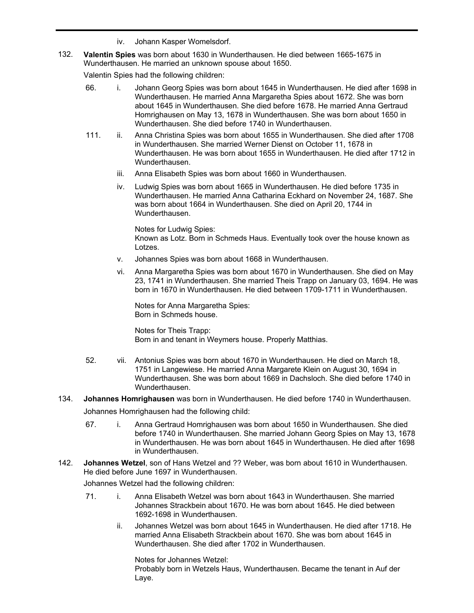- iv. Johann Kasper Womelsdorf.
- **Valentin Spies** was born about 1630 in Wunderthausen. He died between 1665-1675 in Wunderthausen. He married an unknown spouse about 1650. 132.

Valentin Spies had the following children:

- 66. i. Johann Georg Spies was born about 1645 in Wunderthausen. He died after 1698 in Wunderthausen. He married Anna Margaretha Spies about 1672. She was born about 1645 in Wunderthausen. She died before 1678. He married Anna Gertraud Homrighausen on May 13, 1678 in Wunderthausen. She was born about 1650 in Wunderthausen. She died before 1740 in Wunderthausen.
- 111. ii. Anna Christina Spies was born about 1655 in Wunderthausen. She died after 1708 in Wunderthausen. She married Werner Dienst on October 11, 1678 in Wunderthausen. He was born about 1655 in Wunderthausen. He died after 1712 in Wunderthausen.
	- iii. Anna Elisabeth Spies was born about 1660 in Wunderthausen.
	- iv. Ludwig Spies was born about 1665 in Wunderthausen. He died before 1735 in Wunderthausen. He married Anna Catharina Eckhard on November 24, 1687. She was born about 1664 in Wunderthausen. She died on April 20, 1744 in Wunderthausen.

Notes for Ludwig Spies: Known as Lotz. Born in Schmeds Haus. Eventually took over the house known as Lotzes.

- v. Johannes Spies was born about 1668 in Wunderthausen.
- vi. Anna Margaretha Spies was born about 1670 in Wunderthausen. She died on May 23, 1741 in Wunderthausen. She married Theis Trapp on January 03, 1694. He was born in 1670 in Wunderthausen. He died between 1709-1711 in Wunderthausen.

Notes for Anna Margaretha Spies: Born in Schmeds house.

Notes for Theis Trapp: Born in and tenant in Weymers house. Properly Matthias.

- 52. vii. Antonius Spies was born about 1670 in Wunderthausen. He died on March 18, 1751 in Langewiese. He married Anna Margarete Klein on August 30, 1694 in Wunderthausen. She was born about 1669 in Dachsloch. She died before 1740 in Wunderthausen.
- 134. **Johannes Homrighausen** was born in Wunderthausen. He died before 1740 in Wunderthausen.

Johannes Homrighausen had the following child:

- 67. i. Anna Gertraud Homrighausen was born about 1650 in Wunderthausen. She died before 1740 in Wunderthausen. She married Johann Georg Spies on May 13, 1678 in Wunderthausen. He was born about 1645 in Wunderthausen. He died after 1698 in Wunderthausen.
- **Johannes Wetzel**, son of Hans Wetzel and ?? Weber, was born about 1610 in Wunderthausen. He died before June 1697 in Wunderthausen. 142.

Johannes Wetzel had the following children:

- 71. i. Anna Elisabeth Wetzel was born about 1643 in Wunderthausen. She married Johannes Strackbein about 1670. He was born about 1645. He died between 1692-1698 in Wunderthausen.
	- ii. Johannes Wetzel was born about 1645 in Wunderthausen. He died after 1718. He married Anna Elisabeth Strackbein about 1670. She was born about 1645 in Wunderthausen. She died after 1702 in Wunderthausen.

Notes for Johannes Wetzel: Probably born in Wetzels Haus, Wunderthausen. Became the tenant in Auf der Laye.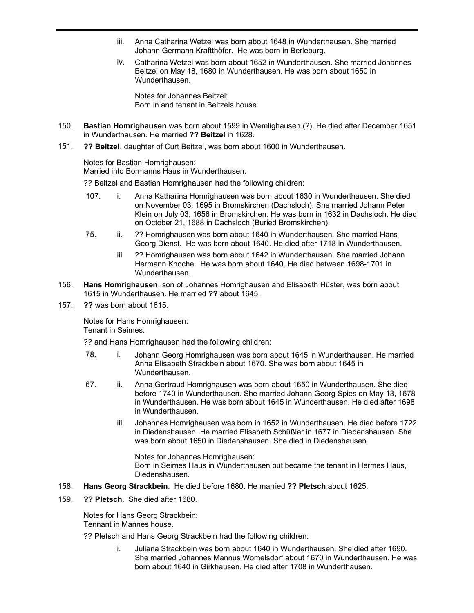- iii. Anna Catharina Wetzel was born about 1648 in Wunderthausen. She married Johann Germann Kraftthöfer. He was born in Berleburg.
- iv. Catharina Wetzel was born about 1652 in Wunderthausen. She married Johannes Beitzel on May 18, 1680 in Wunderthausen. He was born about 1650 in Wunderthausen.

Notes for Johannes Beitzel: Born in and tenant in Beitzels house.

- **Bastian Homrighausen** was born about 1599 in Wemlighausen (?). He died after December 1651 in Wunderthausen. He married **?? Beitzel** in 1628. 150.
- **?? Beitzel**, daughter of Curt Beitzel, was born about 1600 in Wunderthausen. 151.

Notes for Bastian Homrighausen:

Married into Bormanns Haus in Wunderthausen.

?? Beitzel and Bastian Homrighausen had the following children:

- 107. i. Anna Katharina Homrighausen was born about 1630 in Wunderthausen. She died on November 03, 1695 in Bromskirchen (Dachsloch). She married Johann Peter Klein on July 03, 1656 in Bromskirchen. He was born in 1632 in Dachsloch. He died on October 21, 1688 in Dachsloch (Buried Bromskirchen).
- 75. ii. ?? Homrighausen was born about 1640 in Wunderthausen. She married Hans Georg Dienst. He was born about 1640. He died after 1718 in Wunderthausen.
	- iii. ?? Homrighausen was born about 1642 in Wunderthausen. She married Johann Hermann Knoche. He was born about 1640. He died between 1698-1701 in Wunderthausen.
- **Hans Homrighausen**, son of Johannes Homrighausen and Elisabeth Hüster, was born about 1615 in Wunderthausen. He married **??** about 1645. 156.
- **??** was born about 1615. 157.

Notes for Hans Homrighausen: Tenant in Seimes.

?? and Hans Homrighausen had the following children:

- 78. i. Johann Georg Homrighausen was born about 1645 in Wunderthausen. He married Anna Elisabeth Strackbein about 1670. She was born about 1645 in Wunderthausen.
- 67. ii. Anna Gertraud Homrighausen was born about 1650 in Wunderthausen. She died before 1740 in Wunderthausen. She married Johann Georg Spies on May 13, 1678 in Wunderthausen. He was born about 1645 in Wunderthausen. He died after 1698 in Wunderthausen.
	- iii. Johannes Homrighausen was born in 1652 in Wunderthausen. He died before 1722 in Diedenshausen. He married Elisabeth Schüßler in 1677 in Diedenshausen. She was born about 1650 in Diedenshausen. She died in Diedenshausen.

Notes for Johannes Homrighausen: Born in Seimes Haus in Wunderthausen but became the tenant in Hermes Haus, Diedenshausen.

- 158. **Hans Georg Strackbein**. He died before 1680. He married **?? Pletsch** about 1625.
- **?? Pletsch**. She died after 1680. 159.

Notes for Hans Georg Strackbein: Tennant in Mannes house.

?? Pletsch and Hans Georg Strackbein had the following children:

i. Juliana Strackbein was born about 1640 in Wunderthausen. She died after 1690. She married Johannes Mannus Womelsdorf about 1670 in Wunderthausen. He was born about 1640 in Girkhausen. He died after 1708 in Wunderthausen.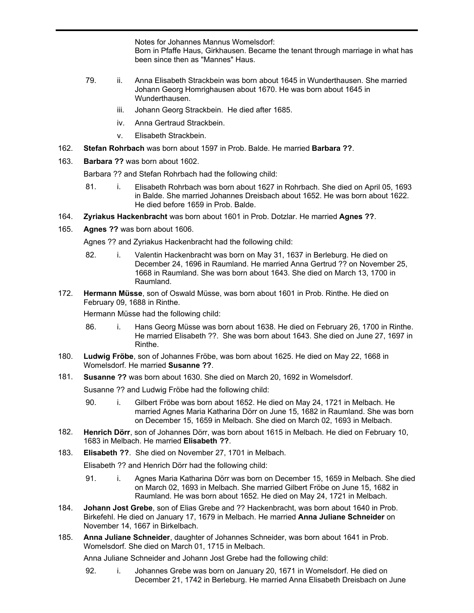Notes for Johannes Mannus Womelsdorf: Born in Pfaffe Haus, Girkhausen. Became the tenant through marriage in what has been since then as "Mannes" Haus.

- 79. ii. Anna Elisabeth Strackbein was born about 1645 in Wunderthausen. She married Johann Georg Homrighausen about 1670. He was born about 1645 in Wunderthausen.
	- iii. Johann Georg Strackbein. He died after 1685.
	- iv. Anna Gertraud Strackbein.
	- v. Elisabeth Strackbein.
- 162. **Stefan Rohrbach** was born about 1597 in Prob. Balde. He married **Barbara ??**.
- 163. **Barbara ??** was born about 1602.

Barbara ?? and Stefan Rohrbach had the following child:

- 81. i. Elisabeth Rohrbach was born about 1627 in Rohrbach. She died on April 05, 1693 in Balde. She married Johannes Dreisbach about 1652. He was born about 1622. He died before 1659 in Prob. Balde.
- 164. **Zyriakus Hackenbracht** was born about 1601 in Prob. Dotzlar. He married **Agnes ??**.
- 165. **Agnes ??** was born about 1606.

Agnes ?? and Zyriakus Hackenbracht had the following child:

- 82. i. Valentin Hackenbracht was born on May 31, 1637 in Berleburg. He died on December 24, 1696 in Raumland. He married Anna Gertrud ?? on November 25, 1668 in Raumland. She was born about 1643. She died on March 13, 1700 in Raumland.
- **Hermann Müsse**, son of Oswald Müsse, was born about 1601 in Prob. Rinthe. He died on February 09, 1688 in Rinthe. 172.

Hermann Müsse had the following child:

- 86. i. Hans Georg Müsse was born about 1638. He died on February 26, 1700 in Rinthe. He married Elisabeth ??. She was born about 1643. She died on June 27, 1697 in Rinthe.
- **Ludwig Fröbe**, son of Johannes Fröbe, was born about 1625. He died on May 22, 1668 in Womelsdorf. He married **Susanne ??**. 180.
- 181. **Susanne ??** was born about 1630. She died on March 20, 1692 in Womelsdorf.

Susanne ?? and Ludwig Fröbe had the following child:

- 90. i. Gilbert Fröbe was born about 1652. He died on May 24, 1721 in Melbach. He married Agnes Maria Katharina Dörr on June 15, 1682 in Raumland. She was born on December 15, 1659 in Melbach. She died on March 02, 1693 in Melbach.
- **Henrich Dörr**, son of Johannes Dörr, was born about 1615 in Melbach. He died on February 10, 1683 in Melbach. He married **Elisabeth ??**. 182.
- 183. **Elisabeth ??**. She died on November 27, 1701 in Melbach.

Elisabeth ?? and Henrich Dörr had the following child:

- 91. i. Agnes Maria Katharina Dörr was born on December 15, 1659 in Melbach. She died on March 02, 1693 in Melbach. She married Gilbert Fröbe on June 15, 1682 in Raumland. He was born about 1652. He died on May 24, 1721 in Melbach.
- **Johann Jost Grebe**, son of Elias Grebe and ?? Hackenbracht, was born about 1640 in Prob. Birkefehl. He died on January 17, 1679 in Melbach. He married **Anna Juliane Schneider** on November 14, 1667 in Birkelbach. 184.
- **Anna Juliane Schneider**, daughter of Johannes Schneider, was born about 1641 in Prob. Womelsdorf. She died on March 01, 1715 in Melbach. 185.

Anna Juliane Schneider and Johann Jost Grebe had the following child:

92. i. Johannes Grebe was born on January 20, 1671 in Womelsdorf. He died on December 21, 1742 in Berleburg. He married Anna Elisabeth Dreisbach on June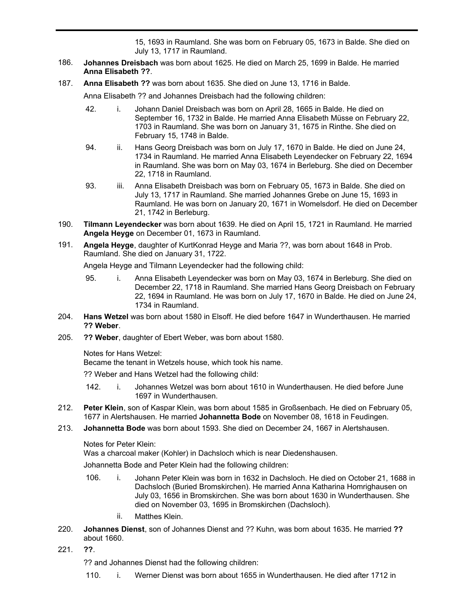December 21, 1742 in Berleburg. He married Anna Elisabeth Dreisbach on June 15, 1693 in Raumland. She was born on February 05, 1673 in Balde. She died on July 13, 1717 in Raumland.

- **Johannes Dreisbach** was born about 1625. He died on March 25, 1699 in Balde. He married **Anna Elisabeth ??**. 186.
- 187. **Anna Elisabeth ??** was born about 1635. She died on June 13, 1716 in Balde.

Anna Elisabeth ?? and Johannes Dreisbach had the following children:

- 42. i. Johann Daniel Dreisbach was born on April 28, 1665 in Balde. He died on September 16, 1732 in Balde. He married Anna Elisabeth Müsse on February 22, 1703 in Raumland. She was born on January 31, 1675 in Rinthe. She died on February 15, 1748 in Balde.
- 94. ii. Hans Georg Dreisbach was born on July 17, 1670 in Balde. He died on June 24, 1734 in Raumland. He married Anna Elisabeth Leyendecker on February 22, 1694 in Raumland. She was born on May 03, 1674 in Berleburg. She died on December 22, 1718 in Raumland.
- 93. iii. Anna Elisabeth Dreisbach was born on February 05, 1673 in Balde. She died on July 13, 1717 in Raumland. She married Johannes Grebe on June 15, 1693 in Raumland. He was born on January 20, 1671 in Womelsdorf. He died on December 21, 1742 in Berleburg.
- **Tilmann Leyendecker** was born about 1639. He died on April 15, 1721 in Raumland. He married **Angela Heyge** on December 01, 1673 in Raumland. 190.
- **Angela Heyge**, daughter of KurtKonrad Heyge and Maria ??, was born about 1648 in Prob. Raumland. She died on January 31, 1722. 191.

Angela Heyge and Tilmann Leyendecker had the following child:

- 95. i. Anna Elisabeth Leyendecker was born on May 03, 1674 in Berleburg. She died on December 22, 1718 in Raumland. She married Hans Georg Dreisbach on February 22, 1694 in Raumland. He was born on July 17, 1670 in Balde. He died on June 24, 1734 in Raumland.
- **Hans Wetzel** was born about 1580 in Elsoff. He died before 1647 in Wunderthausen. He married **?? Weber**. 204.
- **?? Weber**, daughter of Ebert Weber, was born about 1580. 205.

Notes for Hans Wetzel:

Became the tenant in Wetzels house, which took his name.

?? Weber and Hans Wetzel had the following child:

- 142. i. Johannes Wetzel was born about 1610 in Wunderthausen. He died before June 1697 in Wunderthausen.
- **Peter Klein**, son of Kaspar Klein, was born about 1585 in Großsenbach. He died on February 05, 1677 in Alertshausen. He married **Johannetta Bode** on November 08, 1618 in Feudingen. 212.
- **Johannetta Bode** was born about 1593. She died on December 24, 1667 in Alertshausen. 213.

Notes for Peter Klein:

Was a charcoal maker (Kohler) in Dachsloch which is near Diedenshausen.

Johannetta Bode and Peter Klein had the following children:

- 106. i. Johann Peter Klein was born in 1632 in Dachsloch. He died on October 21, 1688 in Dachsloch (Buried Bromskirchen). He married Anna Katharina Homrighausen on July 03, 1656 in Bromskirchen. She was born about 1630 in Wunderthausen. She died on November 03, 1695 in Bromskirchen (Dachsloch).
	- ii. Matthes Klein.
- **Johannes Dienst**, son of Johannes Dienst and ?? Kuhn, was born about 1635. He married **??** about 1660. 220.
- 221. **??**.

?? and Johannes Dienst had the following children:

110. i. Werner Dienst was born about 1655 in Wunderthausen. He died after 1712 in